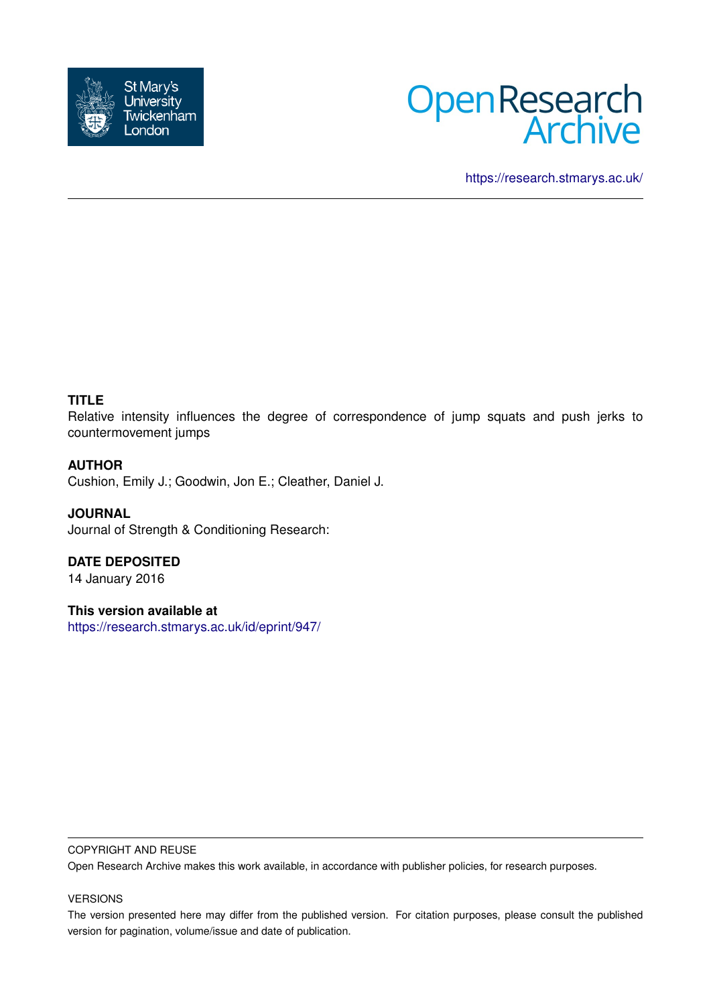



<https://research.stmarys.ac.uk/>

## **TITLE**

Relative intensity influences the degree of correspondence of jump squats and push jerks to countermovement jumps

## **AUTHOR**

Cushion, Emily J.; Goodwin, Jon E.; Cleather, Daniel J.

**JOURNAL** Journal of Strength & Conditioning Research:

**DATE DEPOSITED**

14 January 2016

## **This version available at**

<https://research.stmarys.ac.uk/id/eprint/947/>

#### COPYRIGHT AND REUSE

Open Research Archive makes this work available, in accordance with publisher policies, for research purposes.

#### VERSIONS

The version presented here may differ from the published version. For citation purposes, please consult the published version for pagination, volume/issue and date of publication.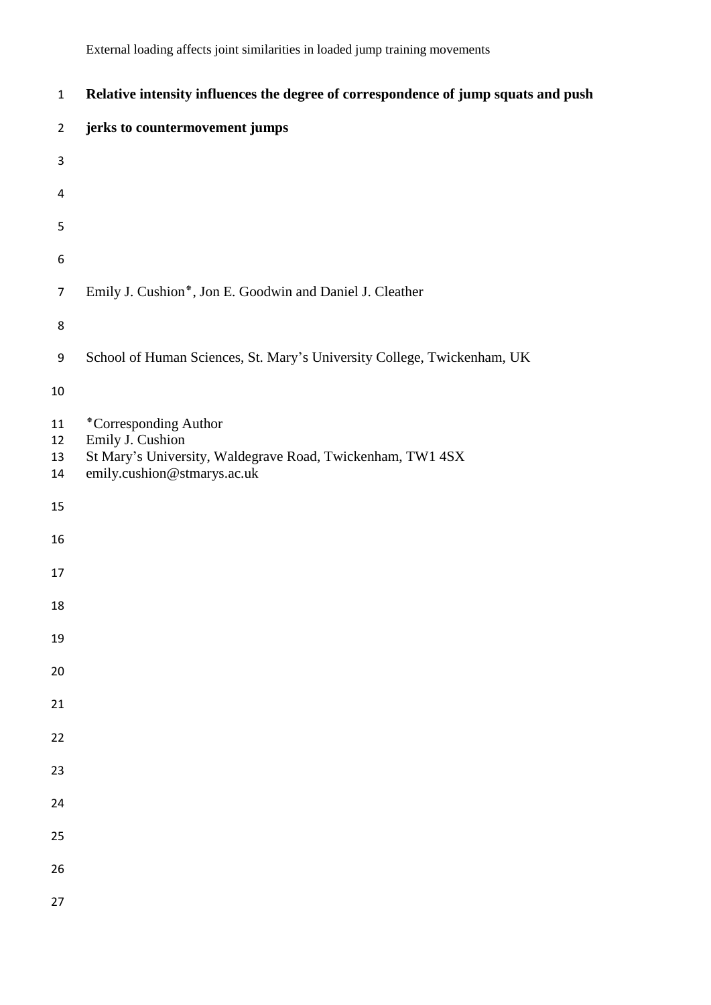| $\mathbf 1$          | Relative intensity influences the degree of correspondence of jump squats and push                                                     |
|----------------------|----------------------------------------------------------------------------------------------------------------------------------------|
| $\overline{2}$       | jerks to countermovement jumps                                                                                                         |
| 3                    |                                                                                                                                        |
| 4                    |                                                                                                                                        |
| 5                    |                                                                                                                                        |
| 6                    |                                                                                                                                        |
| $\overline{7}$       | Emily J. Cushion*, Jon E. Goodwin and Daniel J. Cleather                                                                               |
| 8                    |                                                                                                                                        |
| 9                    | School of Human Sciences, St. Mary's University College, Twickenham, UK                                                                |
| $10\,$               |                                                                                                                                        |
| 11<br>12<br>13<br>14 | *Corresponding Author<br>Emily J. Cushion<br>St Mary's University, Waldegrave Road, Twickenham, TW1 4SX<br>emily.cushion@stmarys.ac.uk |
| 15                   |                                                                                                                                        |
| 16                   |                                                                                                                                        |
| 17                   |                                                                                                                                        |
| 18                   |                                                                                                                                        |
| 19                   |                                                                                                                                        |
| 20                   |                                                                                                                                        |
| 21                   |                                                                                                                                        |
| 22                   |                                                                                                                                        |
| 23                   |                                                                                                                                        |
| 24                   |                                                                                                                                        |
| 25                   |                                                                                                                                        |
| 26                   |                                                                                                                                        |
| 27                   |                                                                                                                                        |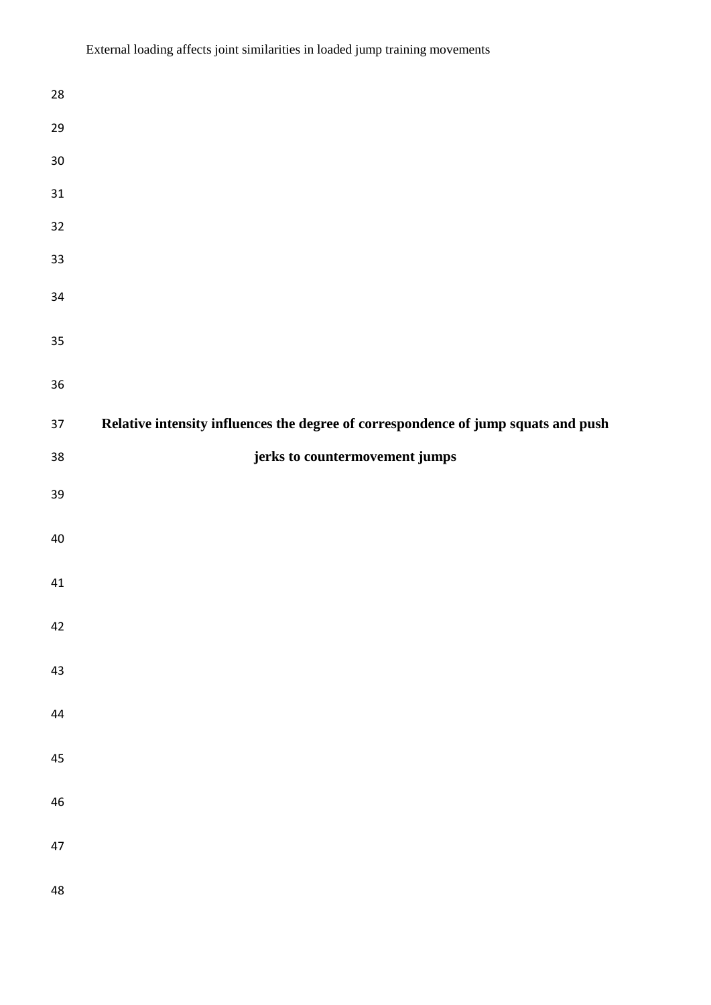| 28         |                                                                                    |
|------------|------------------------------------------------------------------------------------|
| 29         |                                                                                    |
| $30\,$     |                                                                                    |
| $31\,$     |                                                                                    |
| 32         |                                                                                    |
| 33         |                                                                                    |
| 34         |                                                                                    |
| 35         |                                                                                    |
| 36         |                                                                                    |
| 37         | Relative intensity influences the degree of correspondence of jump squats and push |
| $38\,$     | jerks to countermovement jumps                                                     |
| 39         |                                                                                    |
| 40         |                                                                                    |
| 41         |                                                                                    |
| 42         |                                                                                    |
| 43         |                                                                                    |
| $44\,$     |                                                                                    |
| 45         |                                                                                    |
| ${\bf 46}$ |                                                                                    |
| 47         |                                                                                    |
| 48         |                                                                                    |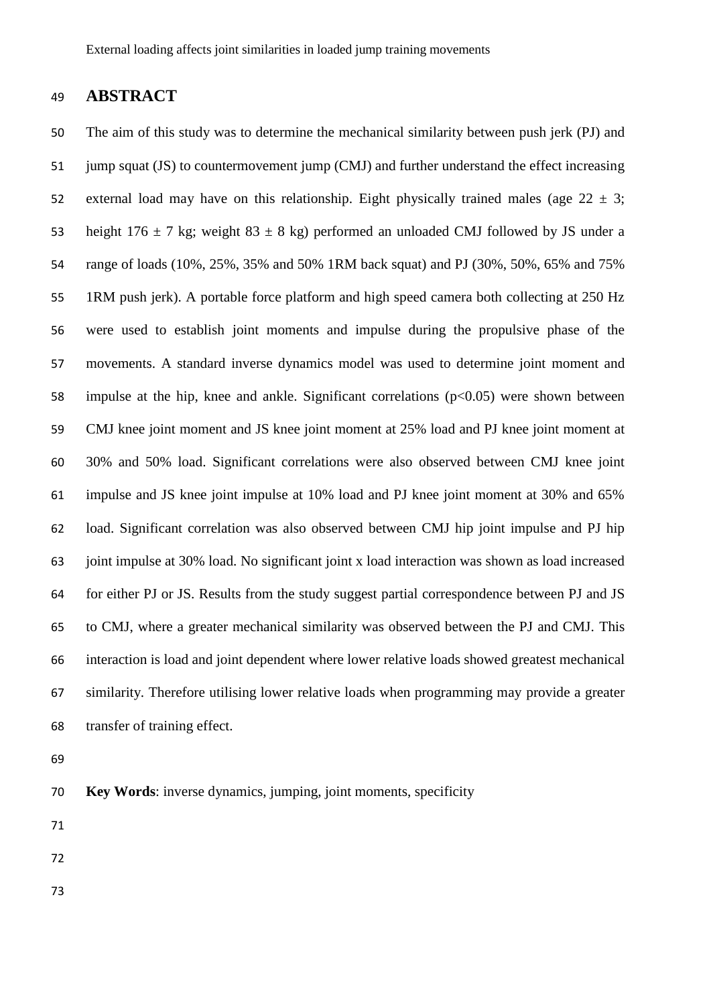## **ABSTRACT**

 The aim of this study was to determine the mechanical similarity between push jerk (PJ) and 51 jump squat (JS) to countermovement jump (CMJ) and further understand the effect increasing 52 external load may have on this relationship. Eight physically trained males (age  $22 \pm 3$ ; 53 height  $176 \pm 7$  kg; weight  $83 \pm 8$  kg) performed an unloaded CMJ followed by JS under a range of loads (10%, 25%, 35% and 50% 1RM back squat) and PJ (30%, 50%, 65% and 75% 1RM push jerk). A portable force platform and high speed camera both collecting at 250 Hz were used to establish joint moments and impulse during the propulsive phase of the movements. A standard inverse dynamics model was used to determine joint moment and impulse at the hip, knee and ankle. Significant correlations (p<0.05) were shown between CMJ knee joint moment and JS knee joint moment at 25% load and PJ knee joint moment at 30% and 50% load. Significant correlations were also observed between CMJ knee joint impulse and JS knee joint impulse at 10% load and PJ knee joint moment at 30% and 65% load. Significant correlation was also observed between CMJ hip joint impulse and PJ hip joint impulse at 30% load. No significant joint x load interaction was shown as load increased for either PJ or JS. Results from the study suggest partial correspondence between PJ and JS to CMJ, where a greater mechanical similarity was observed between the PJ and CMJ. This interaction is load and joint dependent where lower relative loads showed greatest mechanical similarity. Therefore utilising lower relative loads when programming may provide a greater transfer of training effect.

- **Key Words**: inverse dynamics, jumping, joint moments, specificity
- 
- 
-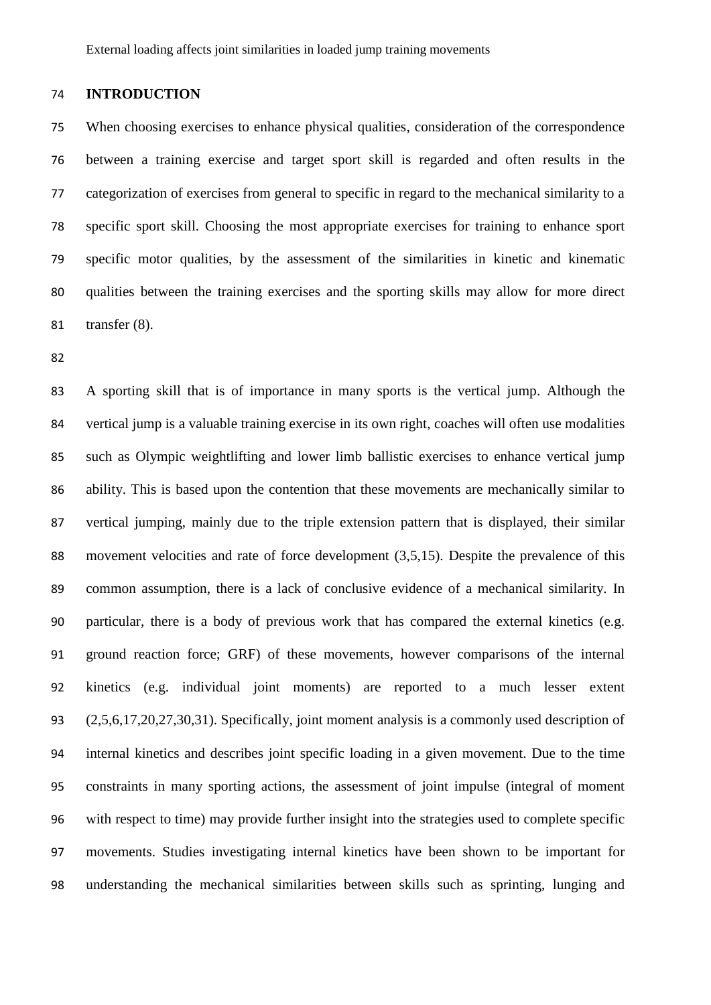#### **INTRODUCTION**

 When choosing exercises to enhance physical qualities, consideration of the correspondence between a training exercise and target sport skill is regarded and often results in the categorization of exercises from general to specific in regard to the mechanical similarity to a specific sport skill. Choosing the most appropriate exercises for training to enhance sport specific motor qualities, by the assessment of the similarities in kinetic and kinematic qualities between the training exercises and the sporting skills may allow for more direct transfer (8).

 A sporting skill that is of importance in many sports is the vertical jump. Although the vertical jump is a valuable training exercise in its own right, coaches will often use modalities such as Olympic weightlifting and lower limb ballistic exercises to enhance vertical jump ability. This is based upon the contention that these movements are mechanically similar to vertical jumping, mainly due to the triple extension pattern that is displayed, their similar movement velocities and rate of force development (3,5,15). Despite the prevalence of this common assumption, there is a lack of conclusive evidence of a mechanical similarity. In particular, there is a body of previous work that has compared the external kinetics (e.g. ground reaction force; GRF) of these movements, however comparisons of the internal kinetics (e.g. individual joint moments) are reported to a much lesser extent (2,5,6,17,20,27,30,31). Specifically, joint moment analysis is a commonly used description of internal kinetics and describes joint specific loading in a given movement. Due to the time constraints in many sporting actions, the assessment of joint impulse (integral of moment with respect to time) may provide further insight into the strategies used to complete specific movements. Studies investigating internal kinetics have been shown to be important for understanding the mechanical similarities between skills such as sprinting, lunging and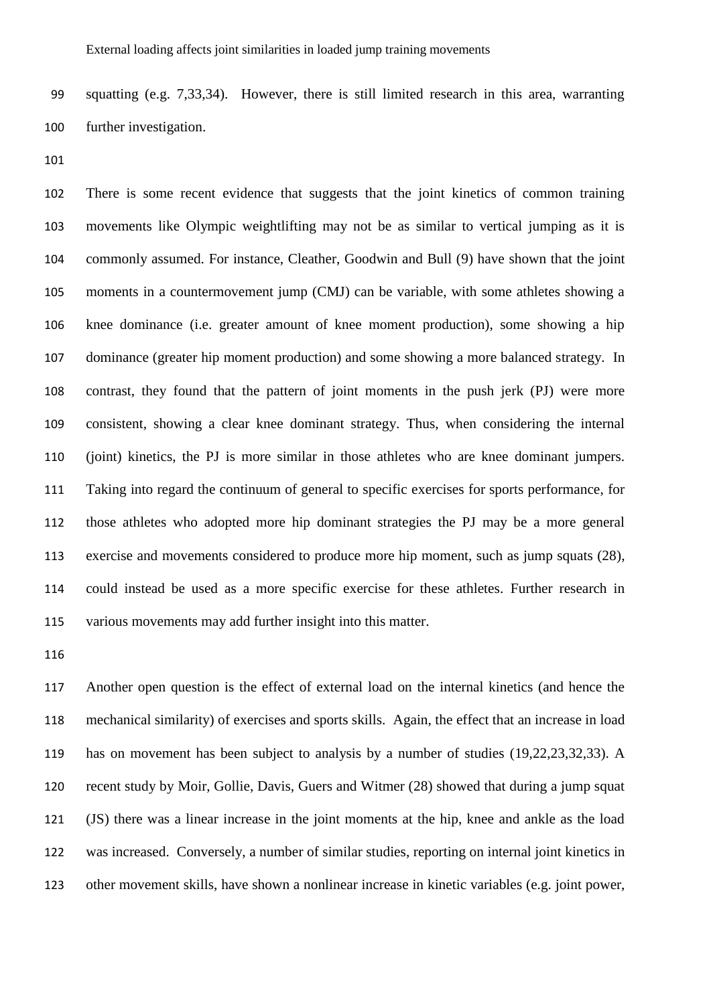squatting (e.g. 7,33,34). However, there is still limited research in this area, warranting further investigation.

 There is some recent evidence that suggests that the joint kinetics of common training movements like Olympic weightlifting may not be as similar to vertical jumping as it is commonly assumed. For instance, Cleather, Goodwin and Bull (9) have shown that the joint moments in a countermovement jump (CMJ) can be variable, with some athletes showing a knee dominance (i.e. greater amount of knee moment production), some showing a hip dominance (greater hip moment production) and some showing a more balanced strategy. In contrast, they found that the pattern of joint moments in the push jerk (PJ) were more consistent, showing a clear knee dominant strategy. Thus, when considering the internal (joint) kinetics, the PJ is more similar in those athletes who are knee dominant jumpers. Taking into regard the continuum of general to specific exercises for sports performance, for those athletes who adopted more hip dominant strategies the PJ may be a more general exercise and movements considered to produce more hip moment, such as jump squats (28), could instead be used as a more specific exercise for these athletes. Further research in various movements may add further insight into this matter.

 Another open question is the effect of external load on the internal kinetics (and hence the mechanical similarity) of exercises and sports skills. Again, the effect that an increase in load has on movement has been subject to analysis by a number of studies (19,22,23,32,33). A recent study by Moir, Gollie, Davis, Guers and Witmer (28) showed that during a jump squat (JS) there was a linear increase in the joint moments at the hip, knee and ankle as the load was increased. Conversely, a number of similar studies, reporting on internal joint kinetics in other movement skills, have shown a nonlinear increase in kinetic variables (e.g. joint power,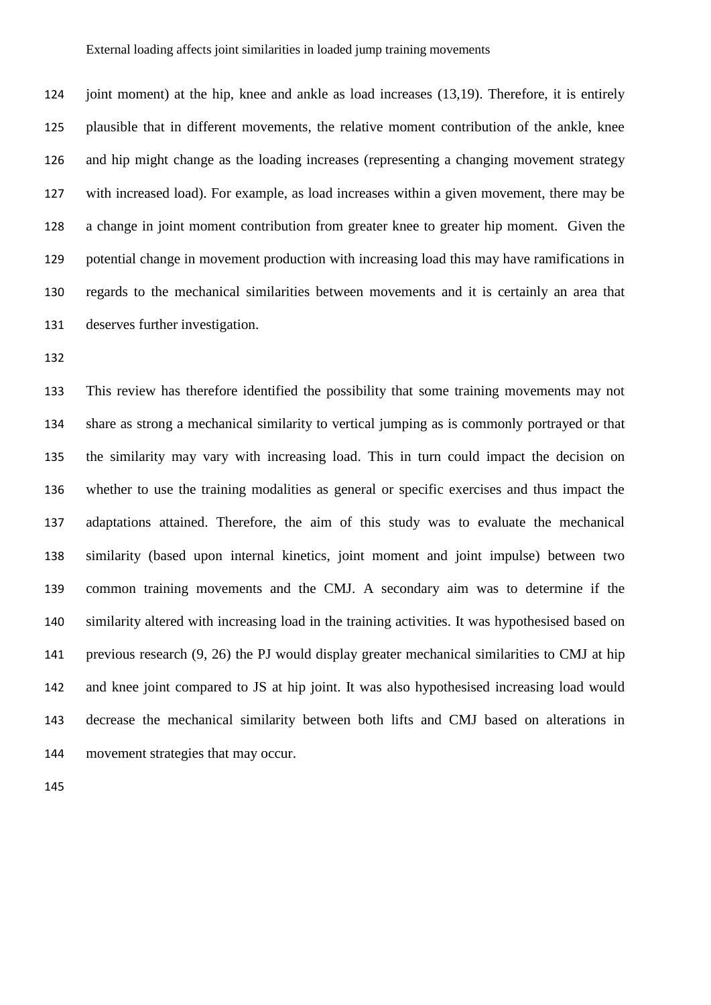joint moment) at the hip, knee and ankle as load increases (13,19). Therefore, it is entirely plausible that in different movements, the relative moment contribution of the ankle, knee and hip might change as the loading increases (representing a changing movement strategy with increased load). For example, as load increases within a given movement, there may be a change in joint moment contribution from greater knee to greater hip moment. Given the potential change in movement production with increasing load this may have ramifications in regards to the mechanical similarities between movements and it is certainly an area that deserves further investigation.

 This review has therefore identified the possibility that some training movements may not share as strong a mechanical similarity to vertical jumping as is commonly portrayed or that the similarity may vary with increasing load. This in turn could impact the decision on whether to use the training modalities as general or specific exercises and thus impact the adaptations attained. Therefore, the aim of this study was to evaluate the mechanical similarity (based upon internal kinetics, joint moment and joint impulse) between two common training movements and the CMJ. A secondary aim was to determine if the similarity altered with increasing load in the training activities. It was hypothesised based on previous research (9, 26) the PJ would display greater mechanical similarities to CMJ at hip and knee joint compared to JS at hip joint. It was also hypothesised increasing load would decrease the mechanical similarity between both lifts and CMJ based on alterations in movement strategies that may occur.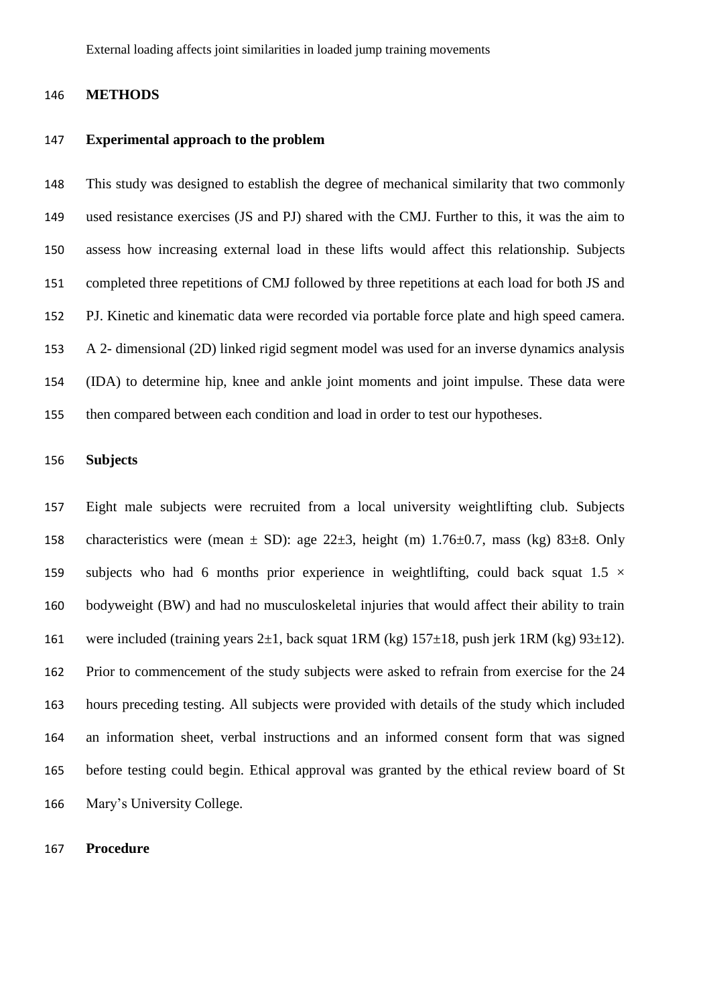#### **METHODS**

#### **Experimental approach to the problem**

 This study was designed to establish the degree of mechanical similarity that two commonly used resistance exercises (JS and PJ) shared with the CMJ. Further to this, it was the aim to assess how increasing external load in these lifts would affect this relationship. Subjects completed three repetitions of CMJ followed by three repetitions at each load for both JS and PJ. Kinetic and kinematic data were recorded via portable force plate and high speed camera. A 2- dimensional (2D) linked rigid segment model was used for an inverse dynamics analysis (IDA) to determine hip, knee and ankle joint moments and joint impulse. These data were then compared between each condition and load in order to test our hypotheses.

## **Subjects**

 Eight male subjects were recruited from a local university weightlifting club. Subjects 158 characteristics were (mean  $\pm$  SD): age 22 $\pm$ 3, height (m) 1.76 $\pm$ 0.7, mass (kg) 83 $\pm$ 8. Only 159 subjects who had 6 months prior experience in weightlifting, could back squat  $1.5 \times$  bodyweight (BW) and had no musculoskeletal injuries that would affect their ability to train 161 were included (training years  $2\pm 1$ , back squat 1RM (kg)  $157\pm 18$ , push jerk 1RM (kg)  $93\pm 12$ ). Prior to commencement of the study subjects were asked to refrain from exercise for the 24 hours preceding testing. All subjects were provided with details of the study which included an information sheet, verbal instructions and an informed consent form that was signed before testing could begin. Ethical approval was granted by the ethical review board of St Mary's University College.

#### **Procedure**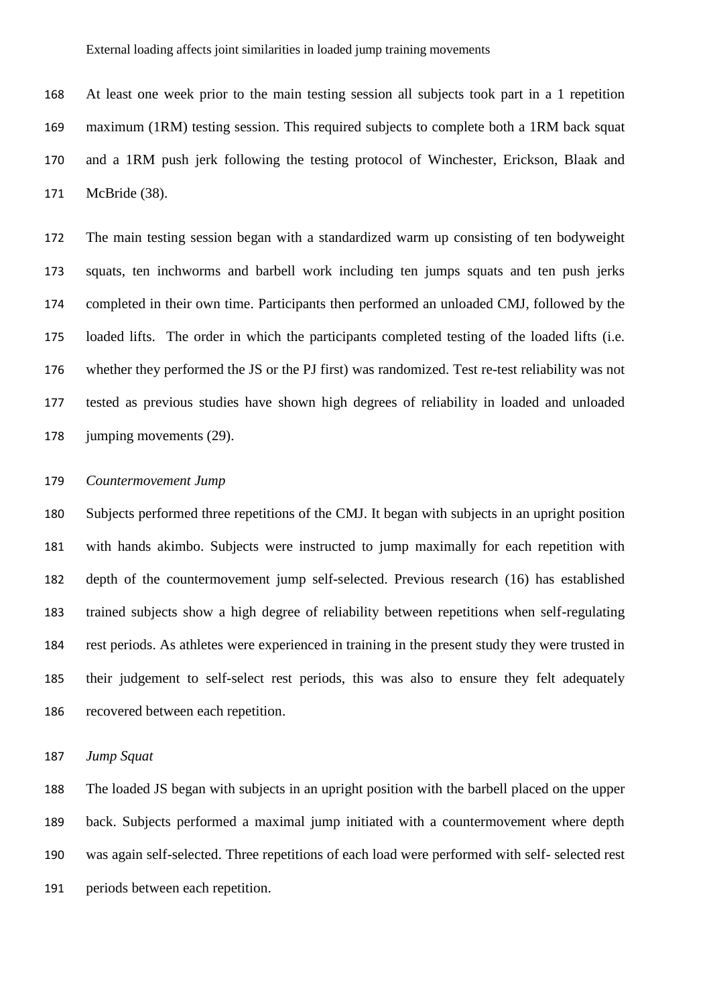At least one week prior to the main testing session all subjects took part in a 1 repetition maximum (1RM) testing session. This required subjects to complete both a 1RM back squat and a 1RM push jerk following the testing protocol of Winchester, Erickson, Blaak and McBride (38).

 The main testing session began with a standardized warm up consisting of ten bodyweight squats, ten inchworms and barbell work including ten jumps squats and ten push jerks completed in their own time. Participants then performed an unloaded CMJ, followed by the loaded lifts. The order in which the participants completed testing of the loaded lifts (i.e. whether they performed the JS or the PJ first) was randomized. Test re-test reliability was not tested as previous studies have shown high degrees of reliability in loaded and unloaded 178 jumping movements (29).

#### *Countermovement Jump*

 Subjects performed three repetitions of the CMJ. It began with subjects in an upright position with hands akimbo. Subjects were instructed to jump maximally for each repetition with depth of the countermovement jump self-selected. Previous research (16) has established trained subjects show a high degree of reliability between repetitions when self-regulating rest periods. As athletes were experienced in training in the present study they were trusted in their judgement to self-select rest periods, this was also to ensure they felt adequately recovered between each repetition.

*Jump Squat*

 The loaded JS began with subjects in an upright position with the barbell placed on the upper back. Subjects performed a maximal jump initiated with a countermovement where depth was again self-selected. Three repetitions of each load were performed with self- selected rest periods between each repetition.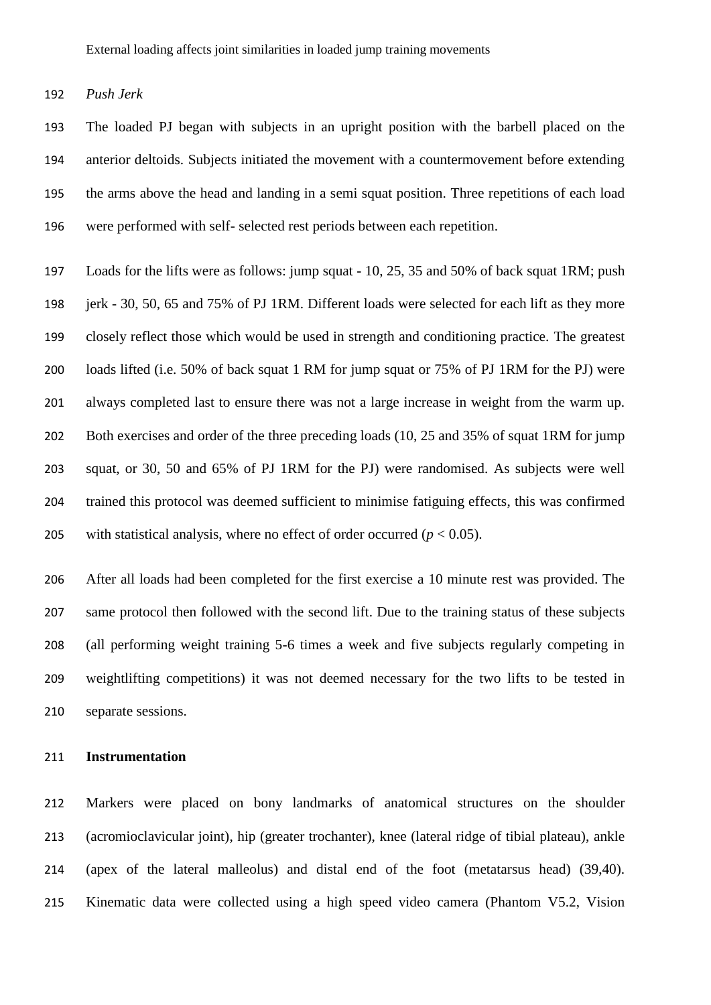*Push Jerk* 

 The loaded PJ began with subjects in an upright position with the barbell placed on the anterior deltoids. Subjects initiated the movement with a countermovement before extending the arms above the head and landing in a semi squat position. Three repetitions of each load were performed with self- selected rest periods between each repetition.

 Loads for the lifts were as follows: jump squat - 10, 25, 35 and 50% of back squat 1RM; push jerk - 30, 50, 65 and 75% of PJ 1RM. Different loads were selected for each lift as they more closely reflect those which would be used in strength and conditioning practice. The greatest loads lifted (i.e. 50% of back squat 1 RM for jump squat or 75% of PJ 1RM for the PJ) were always completed last to ensure there was not a large increase in weight from the warm up. Both exercises and order of the three preceding loads (10, 25 and 35% of squat 1RM for jump squat, or 30, 50 and 65% of PJ 1RM for the PJ) were randomised. As subjects were well trained this protocol was deemed sufficient to minimise fatiguing effects, this was confirmed 205 with statistical analysis, where no effect of order occurred  $(p < 0.05)$ .

 After all loads had been completed for the first exercise a 10 minute rest was provided. The same protocol then followed with the second lift. Due to the training status of these subjects (all performing weight training 5-6 times a week and five subjects regularly competing in weightlifting competitions) it was not deemed necessary for the two lifts to be tested in separate sessions.

### **Instrumentation**

 Markers were placed on bony landmarks of anatomical structures on the shoulder (acromioclavicular joint), hip (greater trochanter), knee (lateral ridge of tibial plateau), ankle (apex of the lateral malleolus) and distal end of the foot (metatarsus head) (39,40). Kinematic data were collected using a high speed video camera (Phantom V5.2, Vision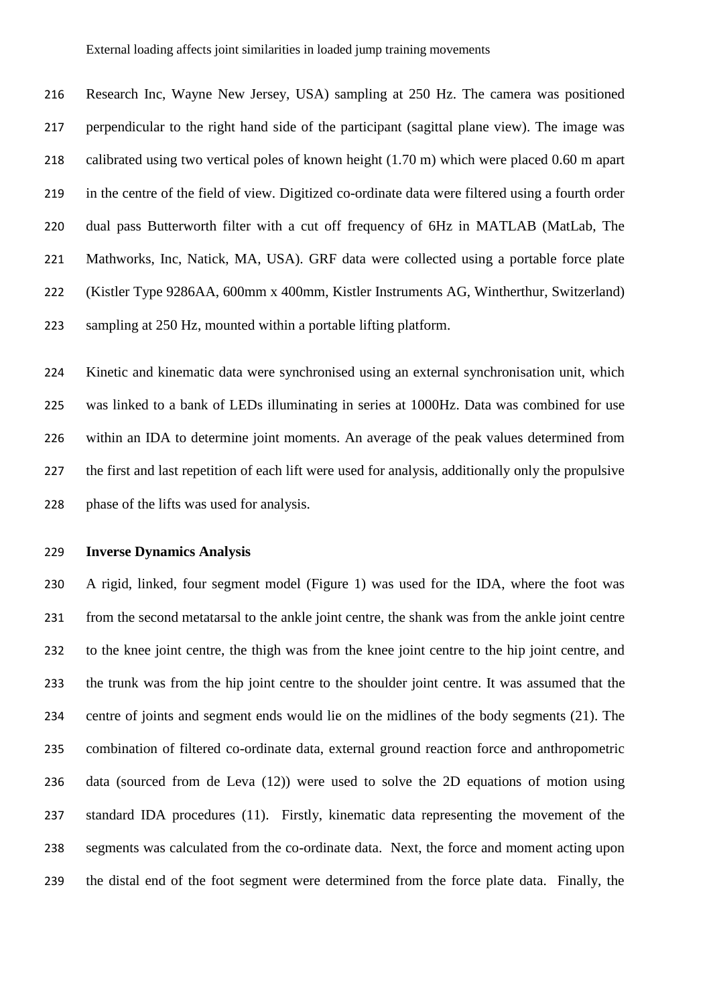Research Inc, Wayne New Jersey, USA) sampling at 250 Hz. The camera was positioned perpendicular to the right hand side of the participant (sagittal plane view). The image was calibrated using two vertical poles of known height (1.70 m) which were placed 0.60 m apart in the centre of the field of view. Digitized co-ordinate data were filtered using a fourth order dual pass Butterworth filter with a cut off frequency of 6Hz in MATLAB (MatLab, The Mathworks, Inc, Natick, MA, USA). GRF data were collected using a portable force plate (Kistler Type 9286AA, 600mm x 400mm, Kistler Instruments AG, Wintherthur, Switzerland) sampling at 250 Hz, mounted within a portable lifting platform.

 Kinetic and kinematic data were synchronised using an external synchronisation unit, which was linked to a bank of LEDs illuminating in series at 1000Hz. Data was combined for use within an IDA to determine joint moments. An average of the peak values determined from the first and last repetition of each lift were used for analysis, additionally only the propulsive 228 phase of the lifts was used for analysis.

#### **Inverse Dynamics Analysis**

 A rigid, linked, four segment model (Figure 1) was used for the IDA, where the foot was from the second metatarsal to the ankle joint centre, the shank was from the ankle joint centre to the knee joint centre, the thigh was from the knee joint centre to the hip joint centre, and the trunk was from the hip joint centre to the shoulder joint centre. It was assumed that the centre of joints and segment ends would lie on the midlines of the body segments (21). The combination of filtered co-ordinate data, external ground reaction force and anthropometric data (sourced from de Leva (12)) were used to solve the 2D equations of motion using standard IDA procedures (11). Firstly, kinematic data representing the movement of the segments was calculated from the co-ordinate data. Next, the force and moment acting upon the distal end of the foot segment were determined from the force plate data. Finally, the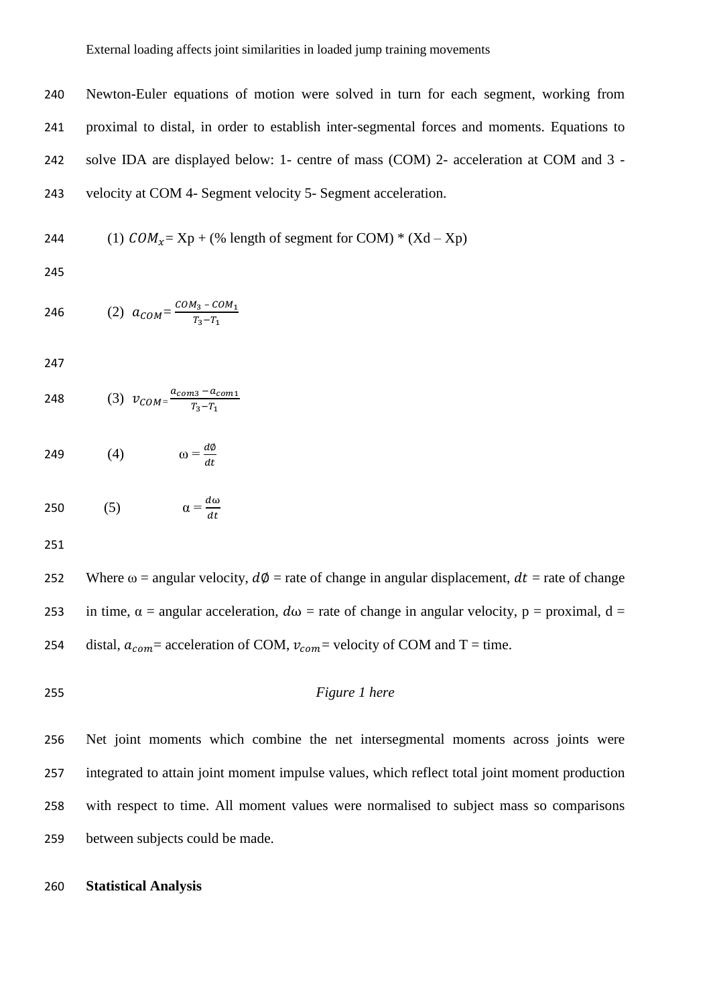Newton-Euler equations of motion were solved in turn for each segment, working from proximal to distal, in order to establish inter-segmental forces and moments. Equations to solve IDA are displayed below: 1- centre of mass (COM) 2- acceleration at COM and 3 - velocity at COM 4- Segment velocity 5- Segment acceleration.

244 (1) 
$$
COM_x = Xp + (\%
$$
 length of segment for COM) \* (Xd - Xp)

246 (2) 
$$
a_{COM} = \frac{COM_3 - COM_1}{T_3 - T_1}
$$

248 (3) 
$$
v_{COM} = \frac{a_{com3} - a_{com1}}{T_3 - T_1}
$$

(4)  $\qquad \qquad \omega = \frac{d\phi}{dt}$ 249 (4)  $\omega = \frac{dv}{dt}$ 

$$
250 \qquad (5) \qquad \qquad \alpha = \frac{d\omega}{dt}
$$

252 Where  $\omega$  = angular velocity,  $d\phi$  = rate of change in angular displacement,  $dt$  = rate of change 253 in time,  $\alpha$  = angular acceleration,  $d\omega$  = rate of change in angular velocity, p = proximal, d = 254 distal,  $a_{com}$  = acceleration of COM,  $v_{com}$  = velocity of COM and T = time.

*Figure 1 here*

 Net joint moments which combine the net intersegmental moments across joints were integrated to attain joint moment impulse values, which reflect total joint moment production with respect to time. All moment values were normalised to subject mass so comparisons between subjects could be made.

## **Statistical Analysis**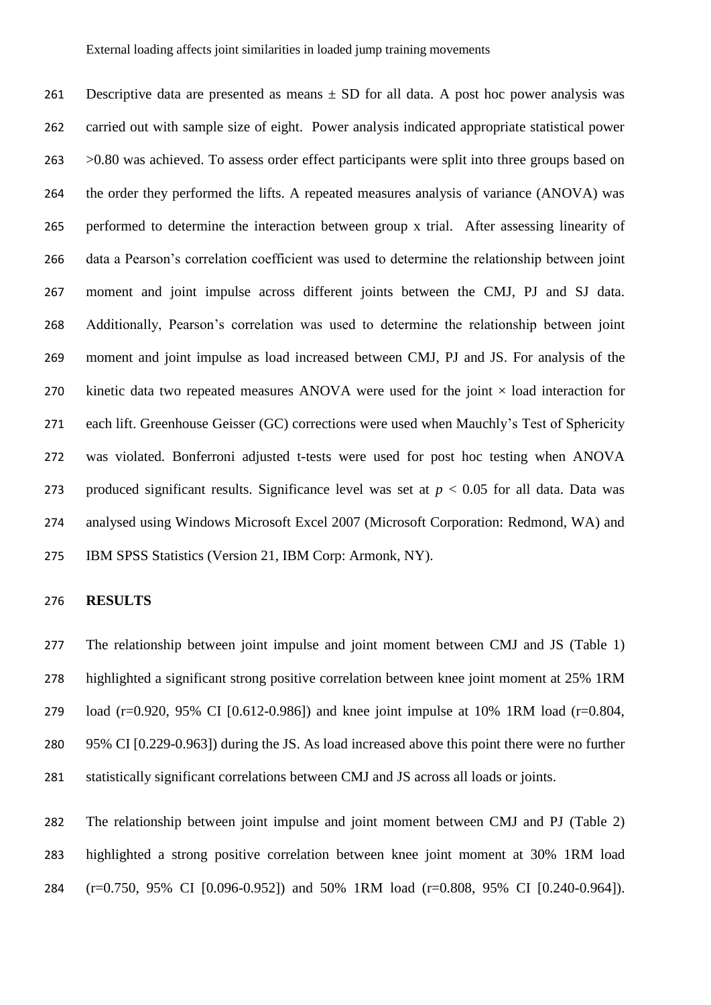261 Descriptive data are presented as means  $\pm$  SD for all data. A post hoc power analysis was carried out with sample size of eight. Power analysis indicated appropriate statistical power >0.80 was achieved. To assess order effect participants were split into three groups based on the order they performed the lifts. A repeated measures analysis of variance (ANOVA) was performed to determine the interaction between group x trial. After assessing linearity of data a Pearson's correlation coefficient was used to determine the relationship between joint moment and joint impulse across different joints between the CMJ, PJ and SJ data. Additionally, Pearson's correlation was used to determine the relationship between joint moment and joint impulse as load increased between CMJ, PJ and JS. For analysis of the 270 kinetic data two repeated measures ANOVA were used for the joint  $\times$  load interaction for each lift. Greenhouse Geisser (GC) corrections were used when Mauchly's Test of Sphericity was violated. Bonferroni adjusted t-tests were used for post hoc testing when ANOVA 273 produced significant results. Significance level was set at  $p < 0.05$  for all data. Data was analysed using Windows Microsoft Excel 2007 (Microsoft Corporation: Redmond, WA) and IBM SPSS Statistics (Version 21, IBM Corp: Armonk, NY).

#### **RESULTS**

 The relationship between joint impulse and joint moment between CMJ and JS (Table 1) highlighted a significant strong positive correlation between knee joint moment at 25% 1RM load (r=0.920, 95% CI [0.612-0.986]) and knee joint impulse at 10% 1RM load (r=0.804, 95% CI [0.229-0.963]) during the JS. As load increased above this point there were no further statistically significant correlations between CMJ and JS across all loads or joints.

 The relationship between joint impulse and joint moment between CMJ and PJ (Table 2) highlighted a strong positive correlation between knee joint moment at 30% 1RM load (r=0.750, 95% CI [0.096-0.952]) and 50% 1RM load (r=0.808, 95% CI [0.240-0.964]).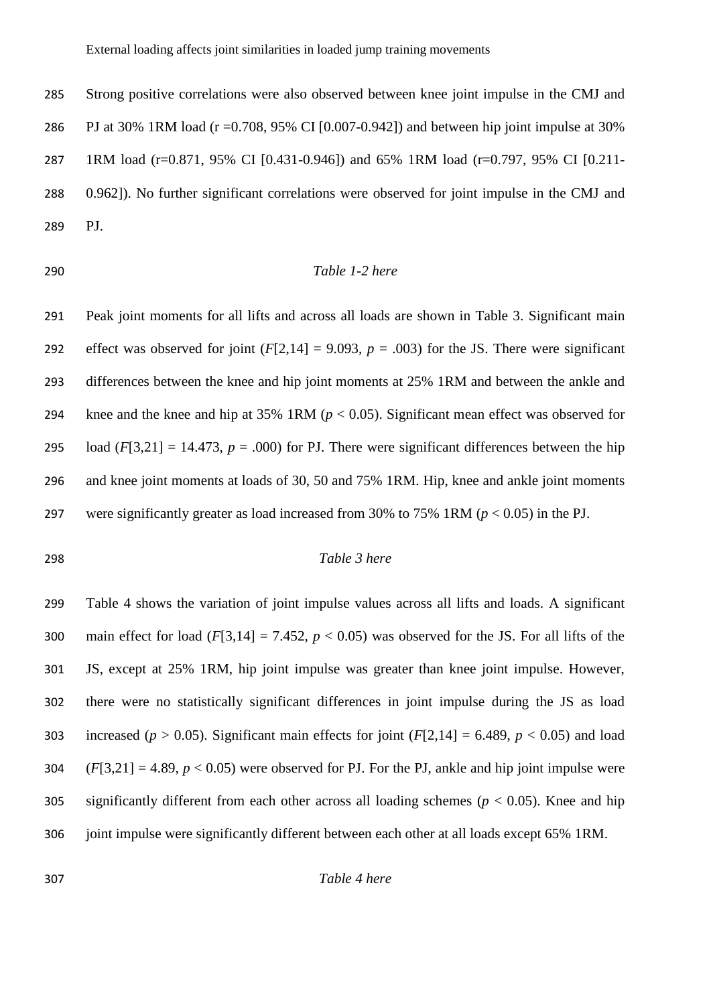Strong positive correlations were also observed between knee joint impulse in the CMJ and PJ at 30% 1RM load (r =0.708, 95% CI [0.007-0.942]) and between hip joint impulse at 30% 1RM load (r=0.871, 95% CI [0.431-0.946]) and 65% 1RM load (r=0.797, 95% CI [0.211- 0.962]). No further significant correlations were observed for joint impulse in the CMJ and PJ.

## Table 1-2 here

 Peak joint moments for all lifts and across all loads are shown in Table 3. Significant main 292 effect was observed for joint  $(F[2,14] = 9.093, p = .003)$  for the JS. There were significant differences between the knee and hip joint moments at 25% 1RM and between the ankle and knee and the knee and hip at 35% 1RM (*p* < 0.05). Significant mean effect was observed for 295 load  $(F[3,21] = 14.473$ ,  $p = .000$  for PJ. There were significant differences between the hip and knee joint moments at loads of 30, 50 and 75% 1RM. Hip, knee and ankle joint moments were significantly greater as load increased from 30% to 75% 1RM (*p* < 0.05) in the PJ.

#### *Table 3 here*

 Table 4 shows the variation of joint impulse values across all lifts and loads. A significant 300 main effect for load  $(F[3,14] = 7.452, p < 0.05)$  was observed for the JS. For all lifts of the JS, except at 25% 1RM, hip joint impulse was greater than knee joint impulse. However, there were no statistically significant differences in joint impulse during the JS as load 303 increased ( $p > 0.05$ ). Significant main effects for joint ( $F[2,14] = 6.489$ ,  $p < 0.05$ ) and load  $(F[3,21] = 4.89, p < 0.05)$  were observed for PJ. For the PJ, ankle and hip joint impulse were significantly different from each other across all loading schemes (*p* < 0.05). Knee and hip joint impulse were significantly different between each other at all loads except 65% 1RM.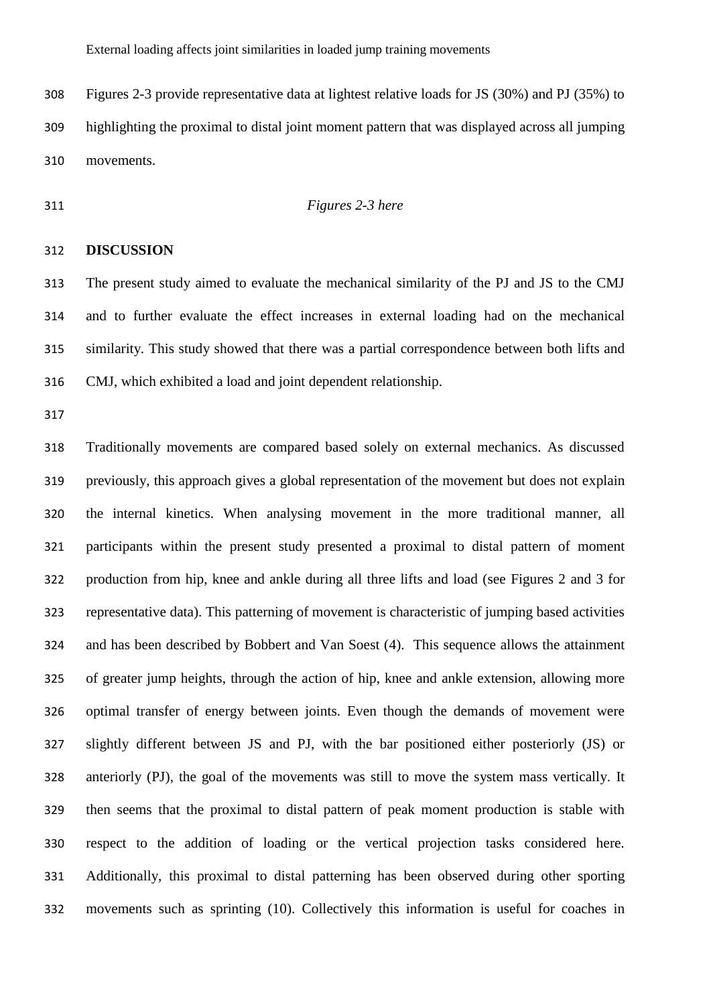Figures 2-3 provide representative data at lightest relative loads for JS (30%) and PJ (35%) to highlighting the proximal to distal joint moment pattern that was displayed across all jumping movements.

## *Figures 2-3 here*

## **DISCUSSION**

 The present study aimed to evaluate the mechanical similarity of the PJ and JS to the CMJ and to further evaluate the effect increases in external loading had on the mechanical similarity. This study showed that there was a partial correspondence between both lifts and CMJ, which exhibited a load and joint dependent relationship.

 Traditionally movements are compared based solely on external mechanics. As discussed previously, this approach gives a global representation of the movement but does not explain the internal kinetics. When analysing movement in the more traditional manner, all participants within the present study presented a proximal to distal pattern of moment production from hip, knee and ankle during all three lifts and load (see Figures 2 and 3 for representative data). This patterning of movement is characteristic of jumping based activities and has been described by Bobbert and Van Soest (4). This sequence allows the attainment of greater jump heights, through the action of hip, knee and ankle extension, allowing more optimal transfer of energy between joints. Even though the demands of movement were slightly different between JS and PJ, with the bar positioned either posteriorly (JS) or anteriorly (PJ), the goal of the movements was still to move the system mass vertically. It then seems that the proximal to distal pattern of peak moment production is stable with respect to the addition of loading or the vertical projection tasks considered here. Additionally, this proximal to distal patterning has been observed during other sporting movements such as sprinting (10). Collectively this information is useful for coaches in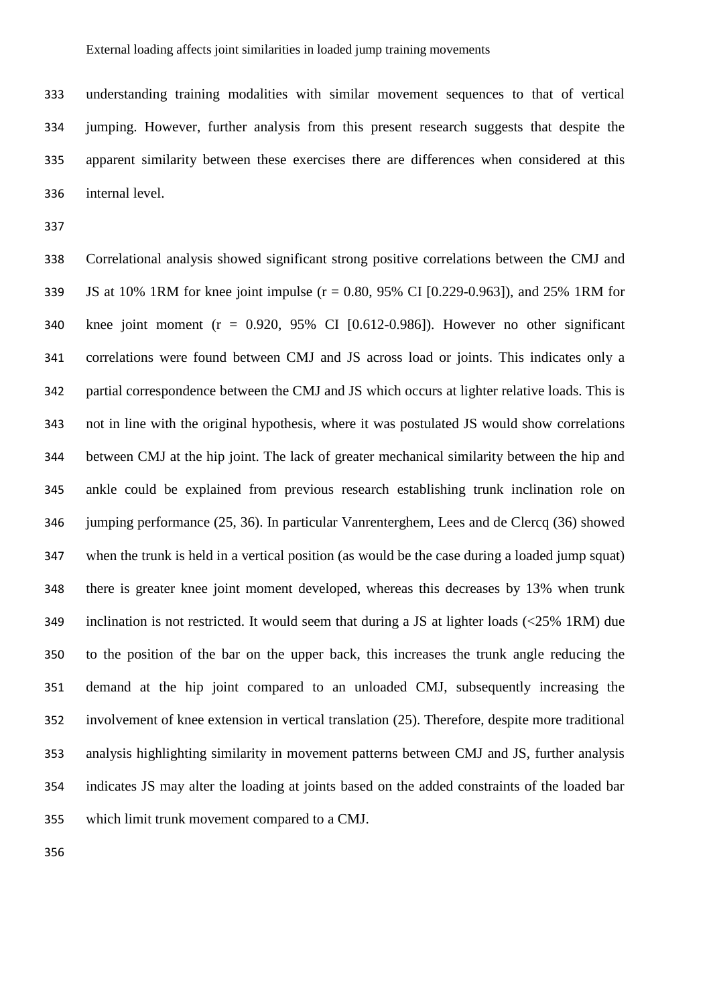understanding training modalities with similar movement sequences to that of vertical jumping. However, further analysis from this present research suggests that despite the apparent similarity between these exercises there are differences when considered at this internal level.

 Correlational analysis showed significant strong positive correlations between the CMJ and JS at 10% 1RM for knee joint impulse (r = 0.80, 95% CI [0.229-0.963]), and 25% 1RM for knee joint moment (r = 0.920, 95% CI [0.612-0.986]). However no other significant correlations were found between CMJ and JS across load or joints. This indicates only a partial correspondence between the CMJ and JS which occurs at lighter relative loads. This is not in line with the original hypothesis, where it was postulated JS would show correlations between CMJ at the hip joint. The lack of greater mechanical similarity between the hip and ankle could be explained from previous research establishing trunk inclination role on jumping performance (25, 36). In particular Vanrenterghem, Lees and de Clercq (36) showed when the trunk is held in a vertical position (as would be the case during a loaded jump squat) there is greater knee joint moment developed, whereas this decreases by 13% when trunk inclination is not restricted. It would seem that during a JS at lighter loads (<25% 1RM) due to the position of the bar on the upper back, this increases the trunk angle reducing the demand at the hip joint compared to an unloaded CMJ, subsequently increasing the involvement of knee extension in vertical translation (25). Therefore, despite more traditional analysis highlighting similarity in movement patterns between CMJ and JS, further analysis indicates JS may alter the loading at joints based on the added constraints of the loaded bar which limit trunk movement compared to a CMJ.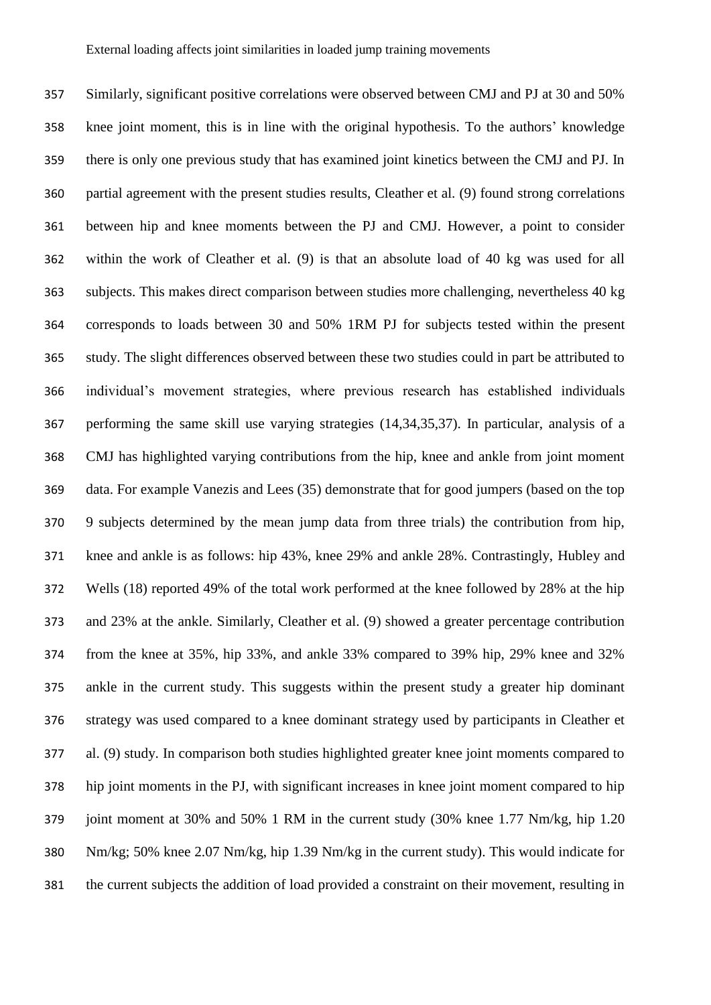Similarly, significant positive correlations were observed between CMJ and PJ at 30 and 50% knee joint moment, this is in line with the original hypothesis. To the authors' knowledge there is only one previous study that has examined joint kinetics between the CMJ and PJ. In partial agreement with the present studies results, Cleather et al. (9) found strong correlations between hip and knee moments between the PJ and CMJ. However, a point to consider within the work of Cleather et al. (9) is that an absolute load of 40 kg was used for all subjects. This makes direct comparison between studies more challenging, nevertheless 40 kg corresponds to loads between 30 and 50% 1RM PJ for subjects tested within the present study. The slight differences observed between these two studies could in part be attributed to individual's movement strategies, where previous research has established individuals performing the same skill use varying strategies (14,34,35,37). In particular, analysis of a CMJ has highlighted varying contributions from the hip, knee and ankle from joint moment data. For example Vanezis and Lees (35) demonstrate that for good jumpers (based on the top 9 subjects determined by the mean jump data from three trials) the contribution from hip, knee and ankle is as follows: hip 43%, knee 29% and ankle 28%. Contrastingly, Hubley and Wells (18) reported 49% of the total work performed at the knee followed by 28% at the hip and 23% at the ankle. Similarly, Cleather et al. (9) showed a greater percentage contribution from the knee at 35%, hip 33%, and ankle 33% compared to 39% hip, 29% knee and 32% ankle in the current study. This suggests within the present study a greater hip dominant strategy was used compared to a knee dominant strategy used by participants in Cleather et al. (9) study. In comparison both studies highlighted greater knee joint moments compared to hip joint moments in the PJ, with significant increases in knee joint moment compared to hip joint moment at 30% and 50% 1 RM in the current study (30% knee 1.77 Nm/kg, hip 1.20 Nm/kg; 50% knee 2.07 Nm/kg, hip 1.39 Nm/kg in the current study). This would indicate for the current subjects the addition of load provided a constraint on their movement, resulting in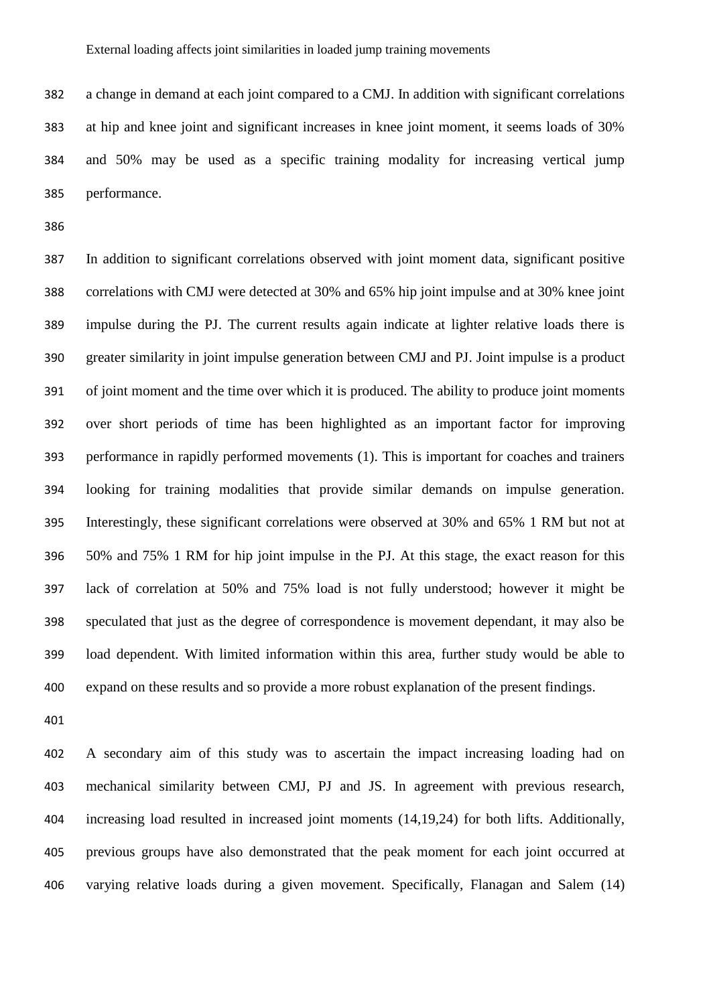a change in demand at each joint compared to a CMJ. In addition with significant correlations at hip and knee joint and significant increases in knee joint moment, it seems loads of 30% and 50% may be used as a specific training modality for increasing vertical jump performance.

 In addition to significant correlations observed with joint moment data, significant positive correlations with CMJ were detected at 30% and 65% hip joint impulse and at 30% knee joint impulse during the PJ. The current results again indicate at lighter relative loads there is greater similarity in joint impulse generation between CMJ and PJ. Joint impulse is a product of joint moment and the time over which it is produced. The ability to produce joint moments over short periods of time has been highlighted as an important factor for improving performance in rapidly performed movements (1). This is important for coaches and trainers looking for training modalities that provide similar demands on impulse generation. Interestingly, these significant correlations were observed at 30% and 65% 1 RM but not at 50% and 75% 1 RM for hip joint impulse in the PJ. At this stage, the exact reason for this lack of correlation at 50% and 75% load is not fully understood; however it might be speculated that just as the degree of correspondence is movement dependant, it may also be load dependent. With limited information within this area, further study would be able to expand on these results and so provide a more robust explanation of the present findings.

 A secondary aim of this study was to ascertain the impact increasing loading had on mechanical similarity between CMJ, PJ and JS. In agreement with previous research, increasing load resulted in increased joint moments (14,19,24) for both lifts. Additionally, previous groups have also demonstrated that the peak moment for each joint occurred at varying relative loads during a given movement. Specifically, Flanagan and Salem (14)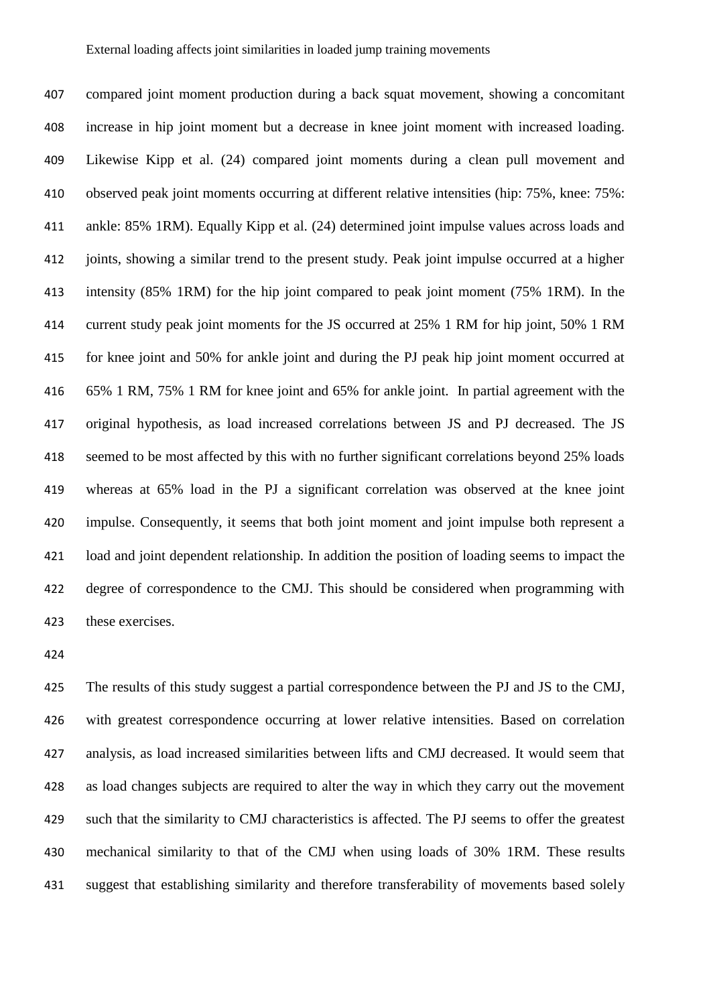compared joint moment production during a back squat movement, showing a concomitant increase in hip joint moment but a decrease in knee joint moment with increased loading. Likewise Kipp et al. (24) compared joint moments during a clean pull movement and observed peak joint moments occurring at different relative intensities (hip: 75%, knee: 75%: ankle: 85% 1RM). Equally Kipp et al. (24) determined joint impulse values across loads and joints, showing a similar trend to the present study. Peak joint impulse occurred at a higher intensity (85% 1RM) for the hip joint compared to peak joint moment (75% 1RM). In the current study peak joint moments for the JS occurred at 25% 1 RM for hip joint, 50% 1 RM for knee joint and 50% for ankle joint and during the PJ peak hip joint moment occurred at 65% 1 RM, 75% 1 RM for knee joint and 65% for ankle joint. In partial agreement with the original hypothesis, as load increased correlations between JS and PJ decreased. The JS seemed to be most affected by this with no further significant correlations beyond 25% loads whereas at 65% load in the PJ a significant correlation was observed at the knee joint impulse. Consequently, it seems that both joint moment and joint impulse both represent a load and joint dependent relationship. In addition the position of loading seems to impact the degree of correspondence to the CMJ. This should be considered when programming with these exercises.

 The results of this study suggest a partial correspondence between the PJ and JS to the CMJ, with greatest correspondence occurring at lower relative intensities. Based on correlation analysis, as load increased similarities between lifts and CMJ decreased. It would seem that as load changes subjects are required to alter the way in which they carry out the movement such that the similarity to CMJ characteristics is affected. The PJ seems to offer the greatest mechanical similarity to that of the CMJ when using loads of 30% 1RM. These results suggest that establishing similarity and therefore transferability of movements based solely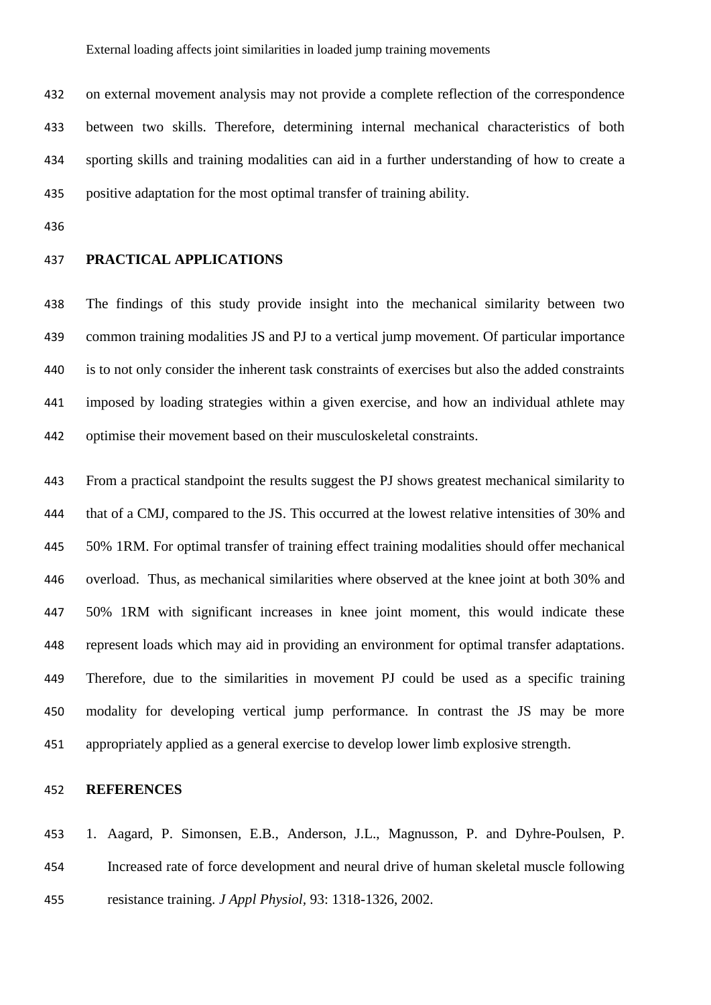on external movement analysis may not provide a complete reflection of the correspondence between two skills. Therefore, determining internal mechanical characteristics of both sporting skills and training modalities can aid in a further understanding of how to create a positive adaptation for the most optimal transfer of training ability.

## **PRACTICAL APPLICATIONS**

 The findings of this study provide insight into the mechanical similarity between two common training modalities JS and PJ to a vertical jump movement. Of particular importance is to not only consider the inherent task constraints of exercises but also the added constraints imposed by loading strategies within a given exercise, and how an individual athlete may optimise their movement based on their musculoskeletal constraints.

 From a practical standpoint the results suggest the PJ shows greatest mechanical similarity to that of a CMJ, compared to the JS. This occurred at the lowest relative intensities of 30% and 50% 1RM. For optimal transfer of training effect training modalities should offer mechanical overload. Thus, as mechanical similarities where observed at the knee joint at both 30% and 50% 1RM with significant increases in knee joint moment, this would indicate these represent loads which may aid in providing an environment for optimal transfer adaptations. Therefore, due to the similarities in movement PJ could be used as a specific training modality for developing vertical jump performance. In contrast the JS may be more appropriately applied as a general exercise to develop lower limb explosive strength.

#### **REFERENCES**

 1. Aagard, P. Simonsen, E.B., Anderson, J.L., Magnusson, P. and Dyhre-Poulsen, P. Increased rate of force development and neural drive of human skeletal muscle following resistance training. *J Appl Physiol,* 93: 1318-1326, 2002.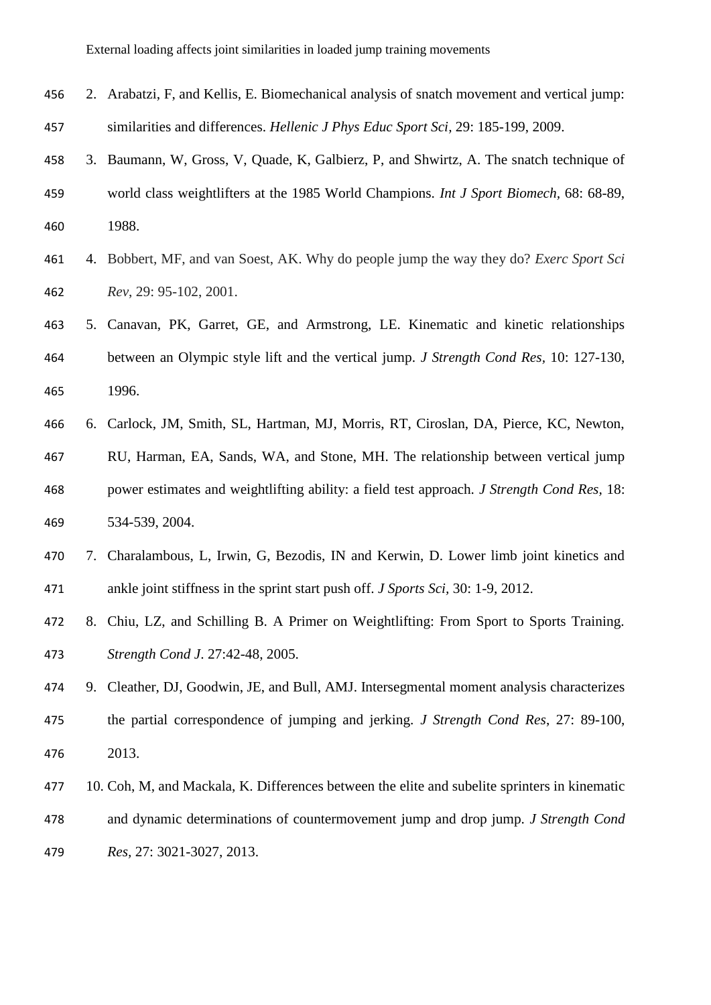| 456 | 2. Arabatzi, F, and Kellis, E. Biomechanical analysis of snatch movement and vertical jump:        |
|-----|----------------------------------------------------------------------------------------------------|
| 457 | similarities and differences. Hellenic J Phys Educ Sport Sci, 29: 185-199, 2009.                   |
| 458 | 3. Baumann, W, Gross, V, Quade, K, Galbierz, P, and Shwirtz, A. The snatch technique of            |
| 459 | world class weightlifters at the 1985 World Champions. <i>Int J Sport Biomech</i> , 68: 68-89,     |
| 460 | 1988.                                                                                              |
| 461 | 4. Bobbert, MF, and van Soest, AK. Why do people jump the way they do? <i>Exerc Sport Sci</i>      |
| 462 | Rev, 29: 95-102, 2001.                                                                             |
| 463 | 5. Canavan, PK, Garret, GE, and Armstrong, LE. Kinematic and kinetic relationships                 |
| 464 | between an Olympic style lift and the vertical jump. <i>J Strength Cond Res</i> , 10: 127-130,     |
| 465 | 1996.                                                                                              |
| 466 | 6. Carlock, JM, Smith, SL, Hartman, MJ, Morris, RT, Ciroslan, DA, Pierce, KC, Newton,              |
| 467 | RU, Harman, EA, Sands, WA, and Stone, MH. The relationship between vertical jump                   |
| 468 | power estimates and weightlifting ability: a field test approach. <i>J Strength Cond Res</i> , 18: |
| 469 | 534-539, 2004.                                                                                     |
| 470 | 7. Charalambous, L, Irwin, G, Bezodis, IN and Kerwin, D. Lower limb joint kinetics and             |
| 471 | ankle joint stiffness in the sprint start push off. <i>J Sports Sci</i> , 30: 1-9, 2012.           |
| 472 | 8. Chiu, LZ, and Schilling B. A Primer on Weightlifting: From Sport to Sports Training.            |
| 473 | Strength Cond J. 27:42-48, 2005.                                                                   |
| 474 | 9. Cleather, DJ, Goodwin, JE, and Bull, AMJ. Intersegmental moment analysis characterizes          |
| 475 | the partial correspondence of jumping and jerking. J Strength Cond Res, 27: 89-100,                |
| 476 | 2013.                                                                                              |
| 477 | 10. Coh, M, and Mackala, K. Differences between the elite and subelite sprinters in kinematic      |
| 478 | and dynamic determinations of countermovement jump and drop jump. J Strength Cond                  |
| 479 | Res, 27: 3021-3027, 2013.                                                                          |
|     |                                                                                                    |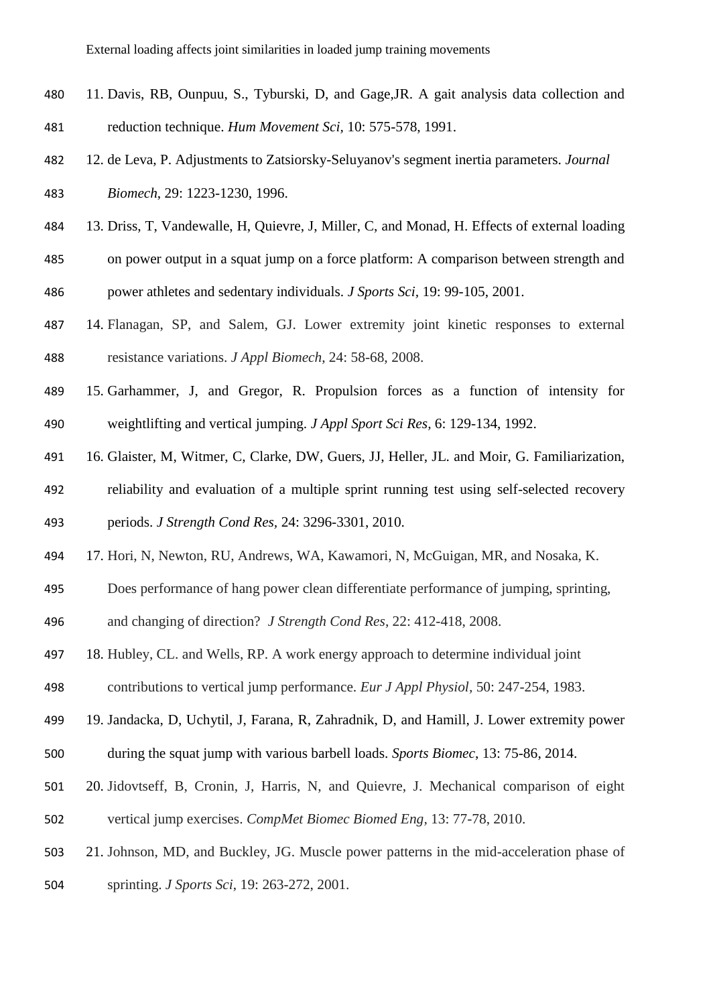- 11. Davis, RB, Ounpuu, S., Tyburski, D, and Gage,JR. A gait analysis data collection and reduction technique. *Hum Movement Sci,* 10: 575-578, 1991.
- 12. de Leva, P. Adjustments to Zatsiorsky-Seluyanov's segment inertia parameters. *Journal Biomech*, 29: 1223-1230, 1996.
- 13. Driss, T, Vandewalle, H, Quievre, J, Miller, C, and Monad, H. Effects of external loading
- on power output in a squat jump on a force platform: A comparison between strength and
- power athletes and sedentary individuals. *J Sports Sci,* 19: 99-105, 2001.
- 14. Flanagan, SP, and Salem, GJ. Lower extremity joint kinetic responses to external resistance variations. *J Appl Biomech*, 24: 58-68, 2008.
- 15. Garhammer, J, and Gregor, R. Propulsion forces as a function of intensity for weightlifting and vertical jumping. *J Appl Sport Sci Res,* 6: 129-134, 1992.
- 16. Glaister, M, Witmer, C, Clarke, DW, Guers, JJ, Heller, JL. and Moir, G. Familiarization,
- reliability and evaluation of a multiple sprint running test using self-selected recovery periods. *J Strength Cond Res,* 24: 3296-3301, 2010.
- 17. Hori, N, Newton, RU, Andrews, WA, Kawamori, N, McGuigan, MR, and Nosaka, K.
- Does performance of hang power clean differentiate performance of jumping, sprinting,
- and changing of direction? *J Strength Cond Res*, 22: 412-418, 2008.
- 18. Hubley, CL. and Wells, RP. A work energy approach to determine individual joint
- contributions to vertical jump performance. *Eur J Appl Physiol,* 50: 247-254, 1983.
- 19. Jandacka, D, Uchytil, J, Farana, R, Zahradnik, D, and Hamill, J. Lower extremity power during the squat jump with various barbell loads. *Sports Biomec*, 13: 75-86, 2014.
- 20. Jidovtseff, B, Cronin, J, Harris, N, and Quievre, J. Mechanical comparison of eight vertical jump exercises. *CompMet Biomec Biomed Eng,* 13: 77-78, 2010.
- 21. Johnson, MD, and Buckley, JG. Muscle power patterns in the mid-acceleration phase of
- sprinting. *J Sports Sci*, 19: 263-272, 2001.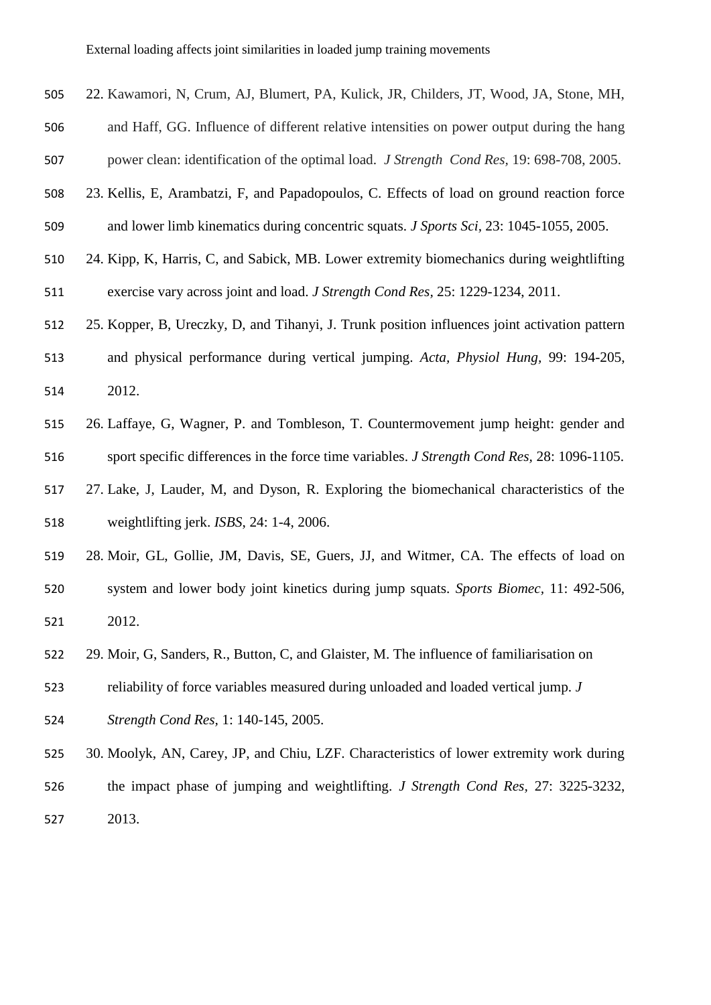- 22. Kawamori, N, Crum, AJ, Blumert, PA, Kulick, JR, Childers, JT, Wood, JA, Stone, MH,
- and Haff, GG. Influence of different relative intensities on power output during the hang

power clean: identification of the optimal load. *J Strength Cond Res,* 19: 698-708, 2005.

- 23. Kellis, E, Arambatzi, F, and Papadopoulos, C. Effects of load on ground reaction force and lower limb kinematics during concentric squats. *J Sports Sci,* 23: 1045-1055, 2005.
- 24. Kipp, K, Harris, C, and Sabick, MB. Lower extremity biomechanics during weightlifting exercise vary across joint and load. *J Strength Cond Res,* 25: 1229-1234, 2011.
- 25. Kopper, B, Ureczky, D, and Tihanyi, J. Trunk position influences joint activation pattern and physical performance during vertical jumping. *Acta, Physiol Hung,* 99: 194-205, 2012.
- 26. Laffaye, G, Wagner, P. and Tombleson, T. Countermovement jump height: gender and sport specific differences in the force time variables. *J Strength Cond Res,* 28: 1096-1105.
- 27. Lake, J, Lauder, M, and Dyson, R. Exploring the biomechanical characteristics of the weightlifting jerk. *ISBS*, 24: 1-4, 2006.
- 28. Moir, GL, Gollie, JM, Davis, SE, Guers, JJ, and Witmer, CA. The effects of load on system and lower body joint kinetics during jump squats. *Sports Biomec,* 11: 492-506, 2012.
- 29. Moir, G, Sanders, R., Button, C, and Glaister, M. The influence of familiarisation on
- reliability of force variables measured during unloaded and loaded vertical jump. *J*
- *Strength Cond Res,* 1: 140-145, 2005.
- 30. Moolyk, AN, Carey, JP, and Chiu, LZF. Characteristics of lower extremity work during the impact phase of jumping and weightlifting. *J Strength Cond Res,* 27: 3225-3232, 2013.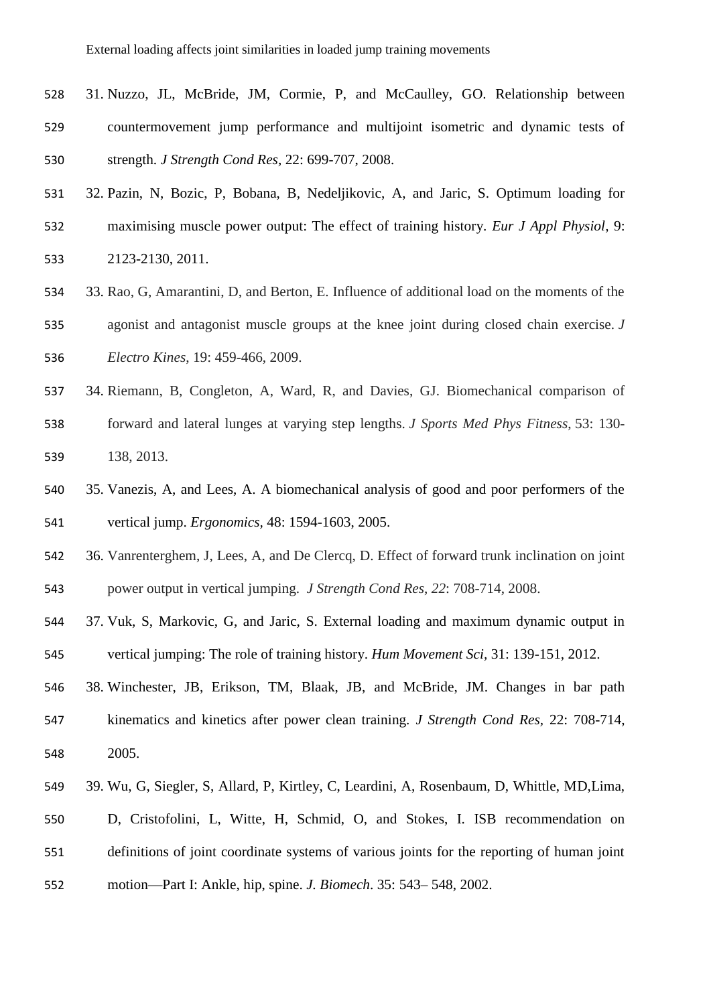- 31. Nuzzo, JL, McBride, JM, Cormie, P, and McCaulley, GO. Relationship between countermovement jump performance and multijoint isometric and dynamic tests of strength. *J Strength Cond Res,* 22: 699-707, 2008.
- 32. Pazin, N, Bozic, P, Bobana, B, Nedeljikovic, A, and Jaric, S. Optimum loading for maximising muscle power output: The effect of training history. *Eur J Appl Physiol,* 9: 2123-2130, 2011.
- 33. Rao, G, Amarantini, D, and Berton, E. Influence of additional load on the moments of the agonist and antagonist muscle groups at the knee joint during closed chain exercise. *J Electro Kines*, 19: 459-466, 2009.
- 34. Riemann, B, Congleton, A, Ward, R, and Davies, GJ. Biomechanical comparison of forward and lateral lunges at varying step lengths. *J Sports Med Phys Fitness*, 53: 130- 138, 2013.
- 35. Vanezis, A, and Lees, A. A biomechanical analysis of good and poor performers of the vertical jump. *Ergonomics,* 48: 1594-1603, 2005.
- 36. Vanrenterghem, J, Lees, A, and De Clercq, D. Effect of forward trunk inclination on joint power output in vertical jumping. *J Strength Cond Res*, *22*: 708-714, 2008.
- 37. Vuk, S, Markovic, G, and Jaric, S. External loading and maximum dynamic output in vertical jumping: The role of training history. *Hum Movement Sci,* 31: 139-151, 2012.
- 38. Winchester, JB, Erikson, TM, Blaak, JB, and McBride, JM. Changes in bar path kinematics and kinetics after power clean training. *J Strength Cond Res,* 22: 708-714, 2005.
- 39. Wu, G, Siegler, S, Allard, P, Kirtley, C, Leardini, A, Rosenbaum, D, Whittle, MD,Lima, D, Cristofolini, L, Witte, H, Schmid, O, and Stokes, I. ISB recommendation on definitions of joint coordinate systems of various joints for the reporting of human joint motion—Part I: Ankle, hip, spine. *J. Biomech*. 35: 543– 548, 2002.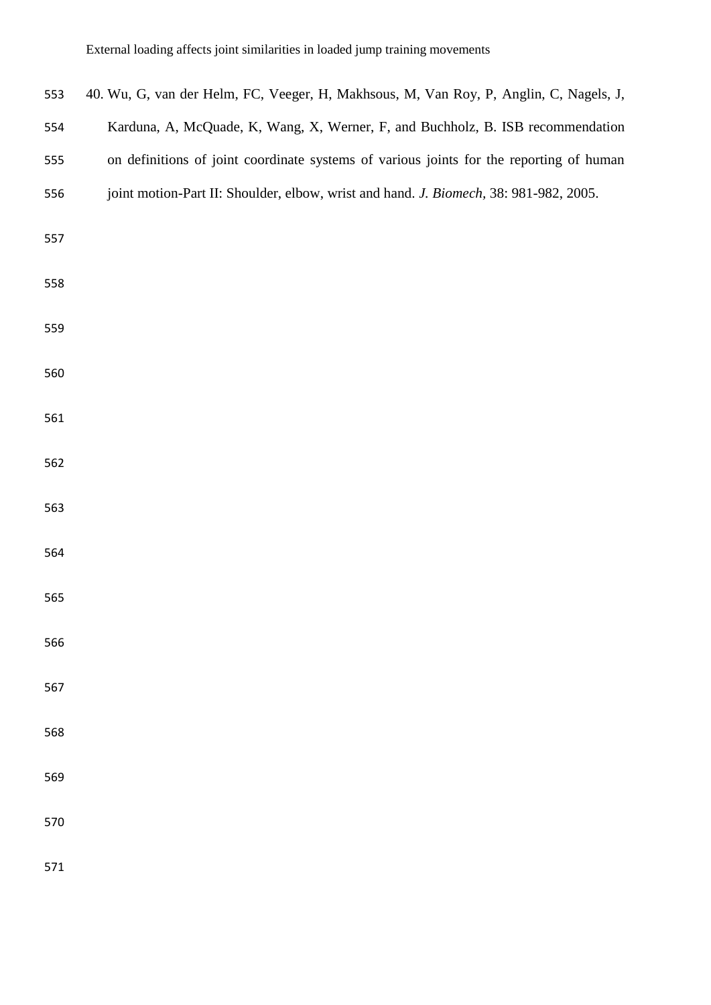| 553 | 40. Wu, G, van der Helm, FC, Veeger, H, Makhsous, M, Van Roy, P, Anglin, C, Nagels, J,  |
|-----|-----------------------------------------------------------------------------------------|
| 554 | Karduna, A, McQuade, K, Wang, X, Werner, F, and Buchholz, B. ISB recommendation         |
| 555 | on definitions of joint coordinate systems of various joints for the reporting of human |
| 556 | joint motion-Part II: Shoulder, elbow, wrist and hand. J. Biomech, 38: 981-982, 2005.   |
| 557 |                                                                                         |
| 558 |                                                                                         |
| 559 |                                                                                         |
| 560 |                                                                                         |
| 561 |                                                                                         |
| 562 |                                                                                         |
| 563 |                                                                                         |
| 564 |                                                                                         |
| 565 |                                                                                         |
| 566 |                                                                                         |
| 567 |                                                                                         |
| 568 |                                                                                         |
| 569 |                                                                                         |
| 570 |                                                                                         |
| 571 |                                                                                         |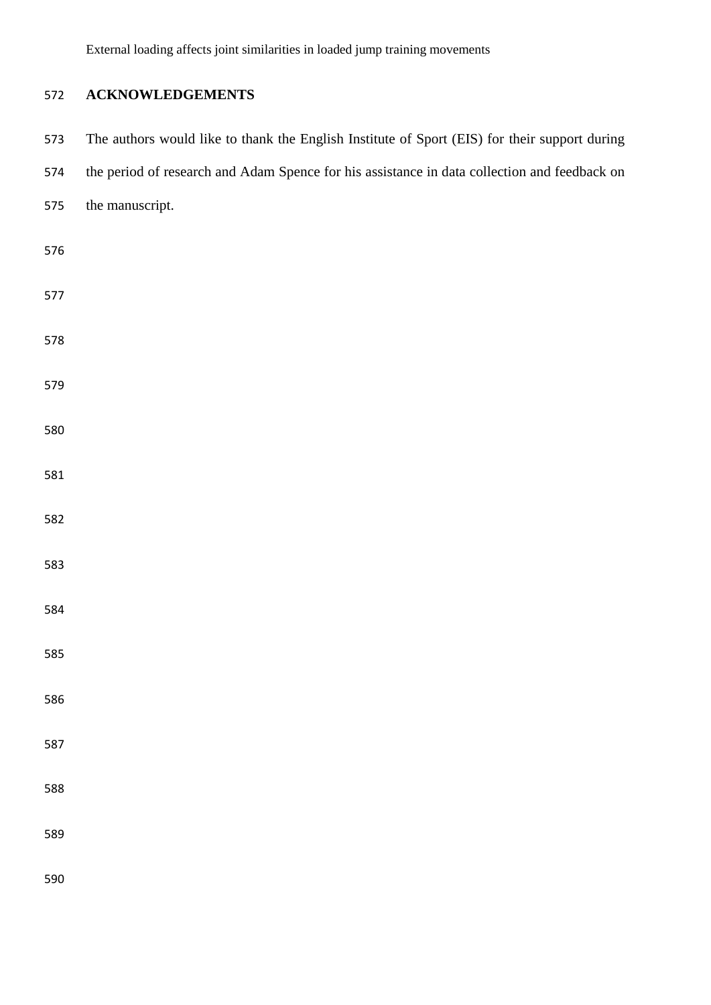## **ACKNOWLEDGEMENTS**

| 573 | The authors would like to thank the English Institute of Sport (EIS) for their support during |
|-----|-----------------------------------------------------------------------------------------------|
| 574 | the period of research and Adam Spence for his assistance in data collection and feedback on  |
| 575 | the manuscript.                                                                               |
| 576 |                                                                                               |
| 577 |                                                                                               |
| 578 |                                                                                               |
| 579 |                                                                                               |
| 580 |                                                                                               |
| 581 |                                                                                               |
| 582 |                                                                                               |
| 583 |                                                                                               |
| 584 |                                                                                               |
| 585 |                                                                                               |
| 586 |                                                                                               |
| 587 |                                                                                               |
| 588 |                                                                                               |
| 589 |                                                                                               |
| 590 |                                                                                               |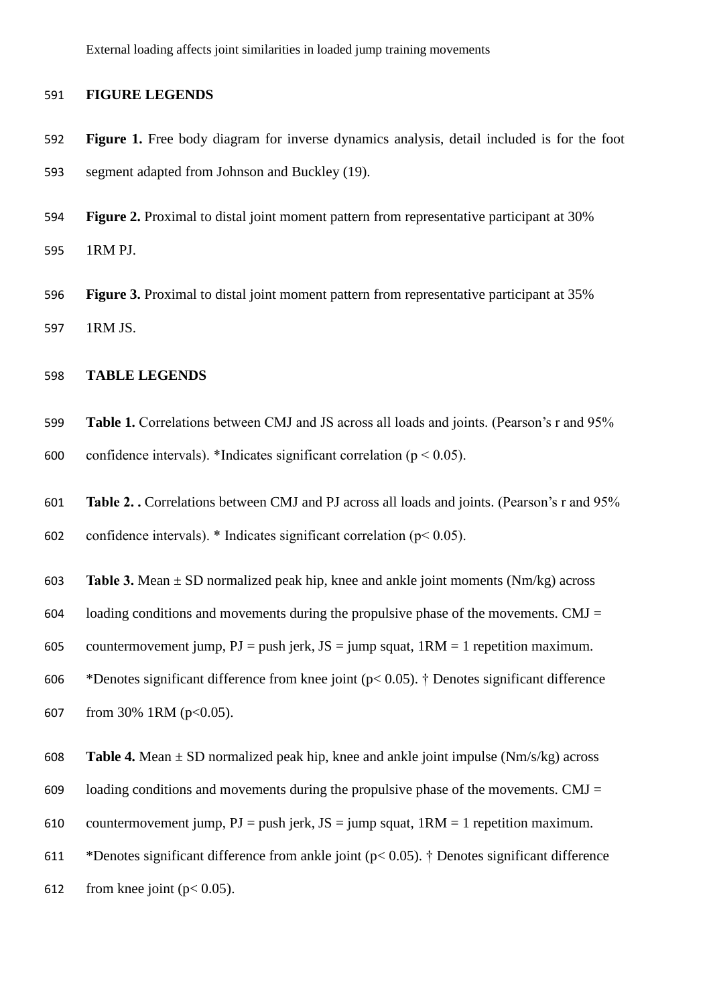#### 591 **FIGURE LEGENDS**

- 592 **Figure 1.** Free body diagram for inverse dynamics analysis, detail included is for the foot 593 segment adapted from Johnson and Buckley (19).
- 594 **Figure 2.** Proximal to distal joint moment pattern from representative participant at 30% 595 1RM PJ.
- 596 **Figure 3.** Proximal to distal joint moment pattern from representative participant at 35% 597 1RM JS.

## 598 **TABLE LEGENDS**

- 599 **Table 1.** Correlations between CMJ and JS across all loads and joints. (Pearson's r and 95% 600 confidence intervals). \*Indicates significant correlation ( $p < 0.05$ ).
- 601 **Table 2. .** Correlations between CMJ and PJ across all loads and joints. (Pearson's r and 95%

602 confidence intervals).  $*$  Indicates significant correlation ( $p$ < 0.05).

- 603 **Table 3.** Mean ± SD normalized peak hip, knee and ankle joint moments (Nm/kg) across
- 604 loading conditions and movements during the propulsive phase of the movements. CMJ  $=$

605 countermovement jump,  $PJ = push$  jerk,  $JS = jump$  squat,  $1RM = 1$  repetition maximum.

606 \* Denotes significant difference from knee joint ( $p < 0.05$ ). † Denotes significant difference

- 607 from 30% 1RM ( $p<0.05$ ).
- 608 **Table 4.** Mean ± SD normalized peak hip, knee and ankle joint impulse (Nm/s/kg) across
- 609 loading conditions and movements during the propulsive phase of the movements. CMJ  $=$
- 610 countermovement jump,  $PJ = push$  jerk,  $JS = jump$  squat,  $1RM = 1$  repetition maximum.
- 611 \* Denotes significant difference from ankle joint ( $p < 0.05$ ). † Denotes significant difference
- 612 from knee joint  $(p < 0.05)$ .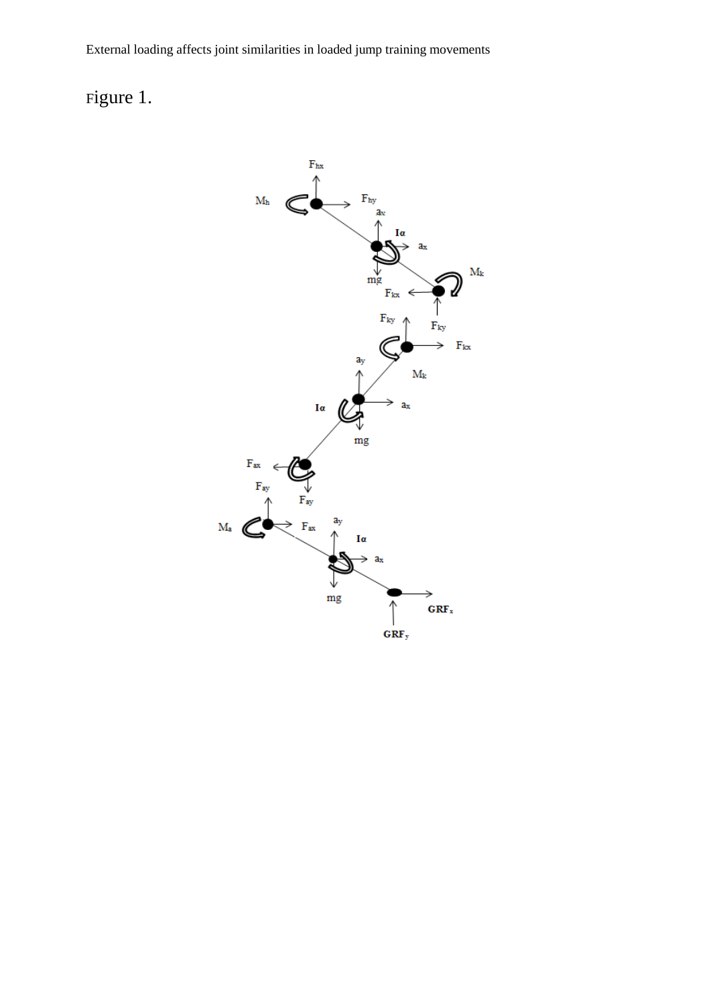# Figure 1.

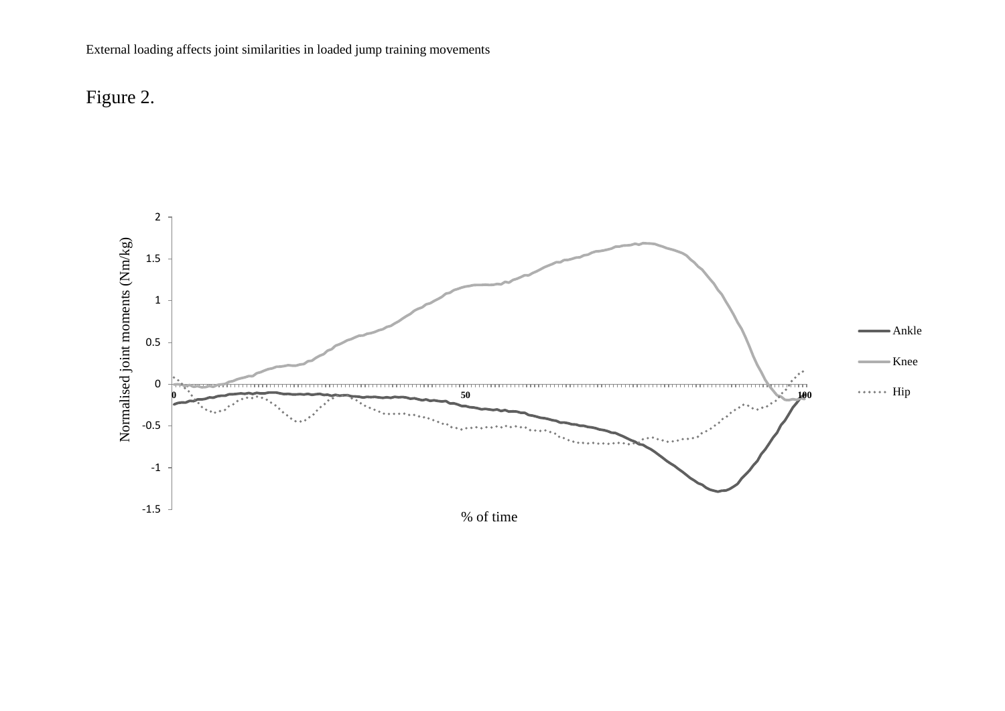

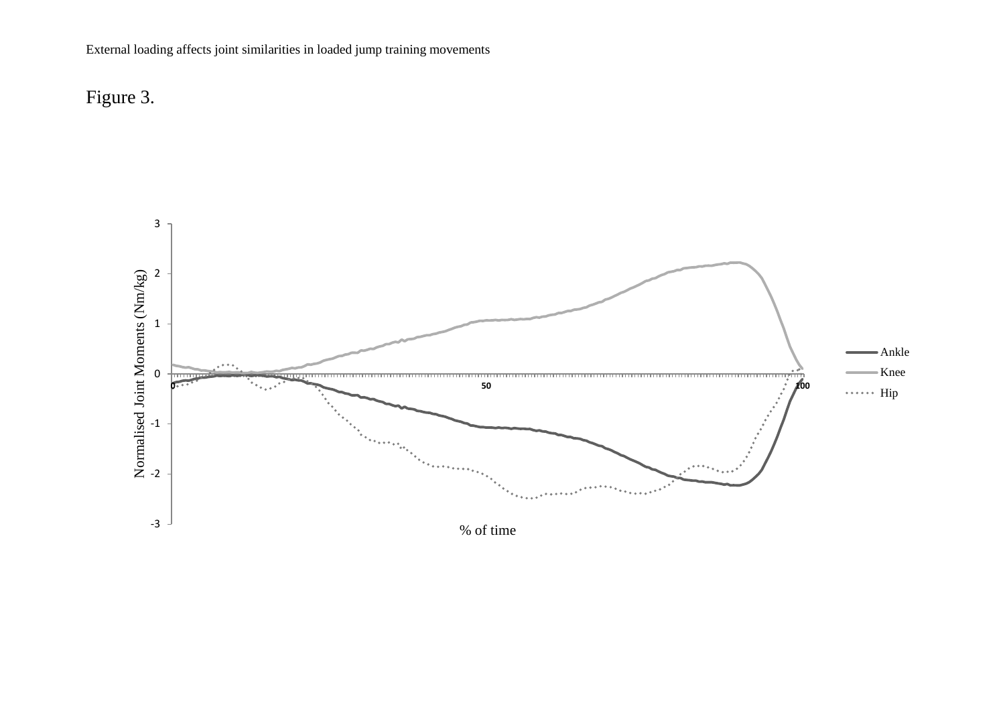

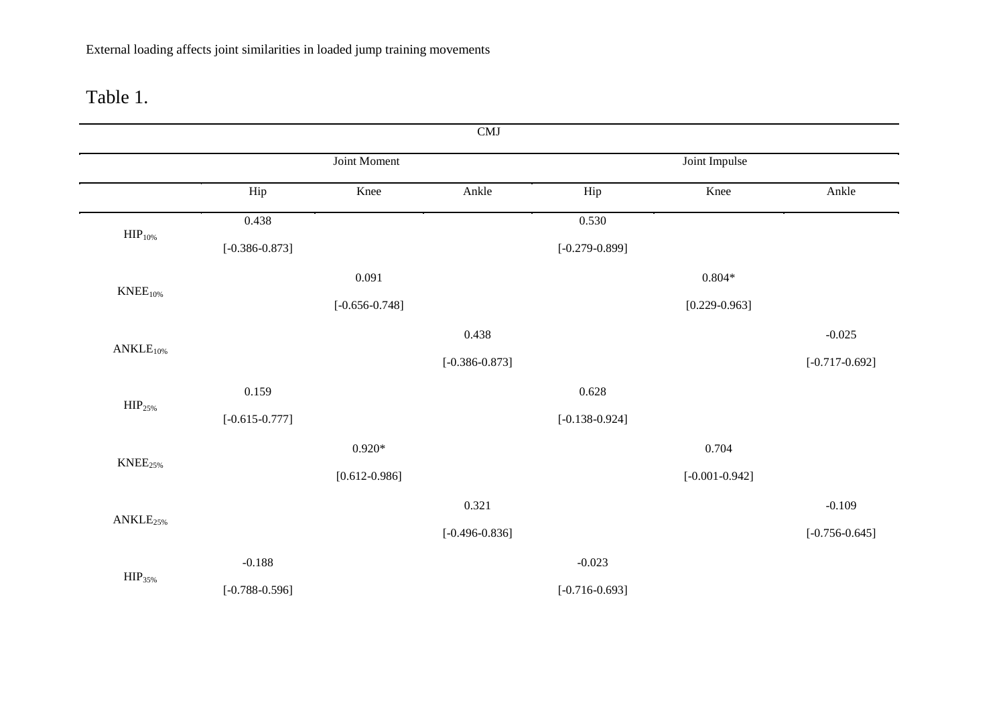## Table 1.

|                      |                    |                    | CMJ                |                    |                    |                    |
|----------------------|--------------------|--------------------|--------------------|--------------------|--------------------|--------------------|
|                      |                    | Joint Moment       |                    |                    | Joint Impulse      |                    |
|                      | Hip                | Knee               | Ankle              | Hip                | Knee               | Ankle              |
|                      | 0.438              |                    |                    | 0.530              |                    |                    |
| $\text{HIP}_{10\%}$  | $[-0.386 - 0.873]$ |                    |                    | $[-0.279 - 0.899]$ |                    |                    |
|                      |                    | 0.091              |                    |                    | $0.804*$           |                    |
| $KNEE10%$            |                    | $[-0.656 - 0.748]$ |                    |                    | $[0.229 - 0.963]$  |                    |
|                      |                    |                    | 0.438              |                    |                    | $-0.025$           |
| $ANKLE10%$           |                    |                    | $[-0.386 - 0.873]$ |                    |                    | $[-0.717 - 0.692]$ |
|                      | 0.159              |                    |                    | 0.628              |                    |                    |
| HIP <sub>25%</sub>   | $[-0.615 - 0.777]$ |                    |                    | $[-0.138 - 0.924]$ |                    |                    |
|                      |                    | $0.920*$           |                    |                    | 0.704              |                    |
| $KNEE_{25\%}$        |                    | $[0.612 - 0.986]$  |                    |                    | $[-0.001 - 0.942]$ |                    |
|                      |                    |                    | 0.321              |                    |                    | $-0.109$           |
| ANKLE <sub>25%</sub> |                    |                    | $[-0.496 - 0.836]$ |                    |                    | $[-0.756 - 0.645]$ |
|                      | $-0.188$           |                    |                    | $-0.023$           |                    |                    |
| HIP <sub>35%</sub>   | $[-0.788 - 0.596]$ |                    |                    | $[-0.716 - 0.693]$ |                    |                    |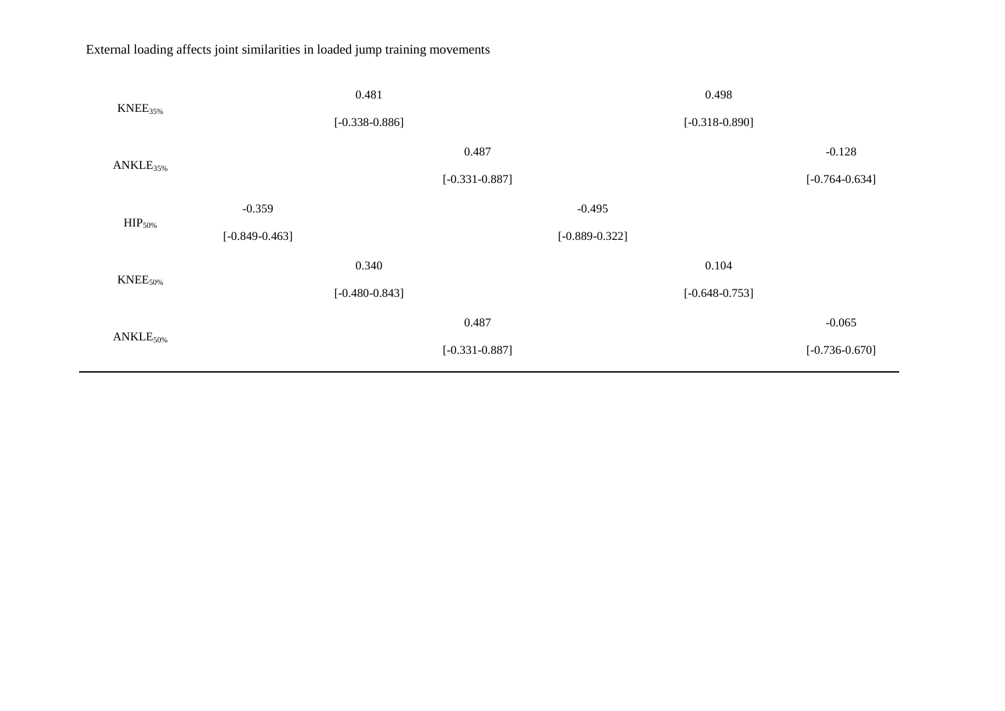| $KNEE_{35\%}$        |                    | 0.481              |                    |                    | 0.498              |                    |
|----------------------|--------------------|--------------------|--------------------|--------------------|--------------------|--------------------|
|                      |                    | $[-0.338 - 0.886]$ |                    |                    | $[-0.318 - 0.890]$ |                    |
| ANKLE <sub>35%</sub> |                    |                    | 0.487              |                    |                    | $-0.128$           |
|                      |                    |                    | $[-0.331 - 0.887]$ |                    |                    | $[-0.764 - 0.634]$ |
| HIP <sub>50%</sub>   | $-0.359$           |                    |                    | $-0.495$           |                    |                    |
|                      | $[-0.849 - 0.463]$ |                    |                    | $[-0.889 - 0.322]$ |                    |                    |
|                      |                    | 0.340              |                    |                    | 0.104              |                    |
| $KNEE_{50\%}$        |                    | $[-0.480 - 0.843]$ |                    |                    | $[-0.648 - 0.753]$ |                    |
| $ANKLE50%$           |                    |                    | 0.487              |                    |                    | $-0.065$           |
|                      |                    |                    | $[-0.331 - 0.887]$ |                    |                    | $[-0.736 - 0.670]$ |
|                      |                    |                    |                    |                    |                    |                    |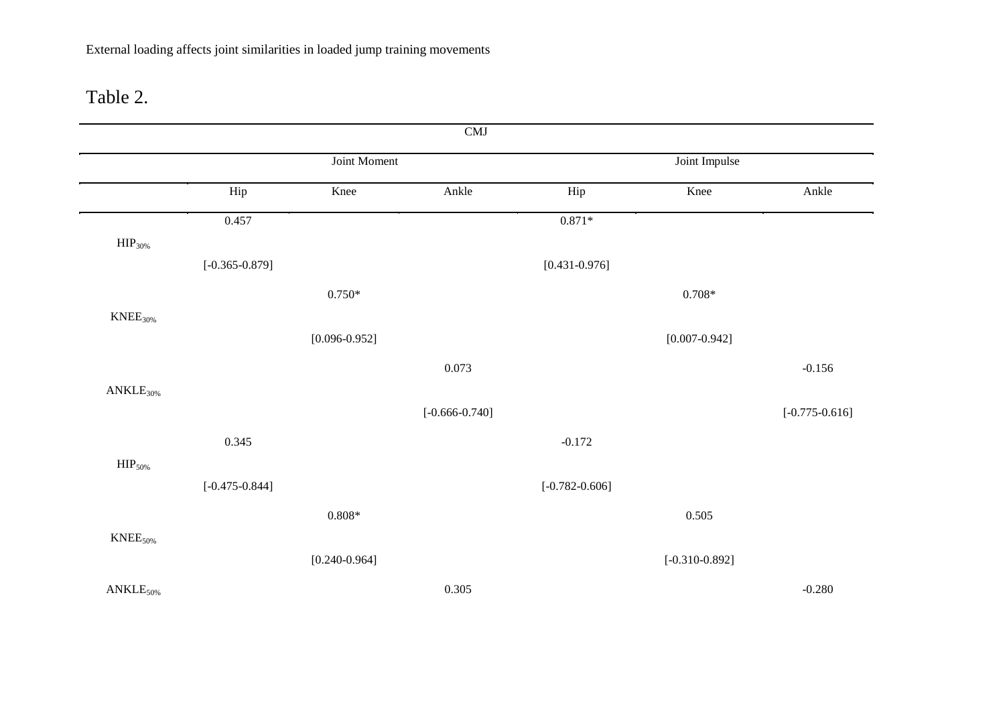## Table 2.

|                         |                    |                   | CMJ                |                    |                    |                    |
|-------------------------|--------------------|-------------------|--------------------|--------------------|--------------------|--------------------|
|                         |                    | Joint Moment      |                    |                    | Joint Impulse      |                    |
|                         | Hip                | Knee              | Ankle              | Hip                | Knee               | Ankle              |
|                         | 0.457              |                   |                    | $0.871^{\ast}$     |                    |                    |
| ${\rm HIP}_{30\%}$      |                    |                   |                    |                    |                    |                    |
|                         | $[-0.365 - 0.879]$ |                   |                    | $[0.431 - 0.976]$  |                    |                    |
|                         |                    | $0.750*$          |                    |                    | $0.708*$           |                    |
| $\mathrm{KNEE}_{30\%}$  |                    |                   |                    |                    |                    |                    |
|                         |                    | $[0.096 - 0.952]$ |                    |                    | $[0.007 - 0.942]$  |                    |
|                         |                    |                   | 0.073              |                    |                    | $-0.156$           |
| $ANKLE30%$              |                    |                   |                    |                    |                    |                    |
|                         |                    |                   | $[-0.666 - 0.740]$ |                    |                    | $[-0.775 - 0.616]$ |
|                         | 0.345              |                   |                    | $-0.172$           |                    |                    |
| HIP <sub>50%</sub>      |                    |                   |                    |                    |                    |                    |
|                         | $[-0.475 - 0.844]$ |                   |                    | $[-0.782 - 0.606]$ |                    |                    |
|                         |                    | $0.808^{\ast}$    |                    |                    | 0.505              |                    |
| $\mathrm{KNEE}_{50\%}$  |                    |                   |                    |                    |                    |                    |
|                         |                    | $[0.240 - 0.964]$ |                    |                    | $[-0.310 - 0.892]$ |                    |
| $\mathrm{ANKLE}_{50\%}$ |                    |                   | 0.305              |                    |                    | $-0.280$           |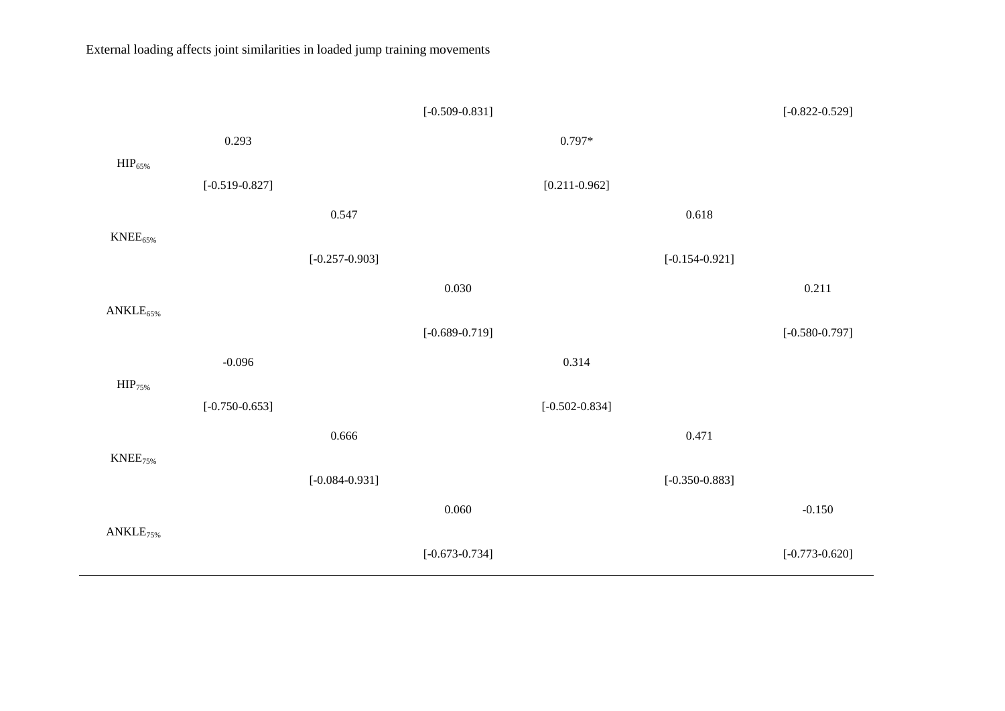|                     |                    |                           | $[-0.509 - 0.831]$ |                    |                    | $[-0.822 - 0.529]$ |
|---------------------|--------------------|---------------------------|--------------------|--------------------|--------------------|--------------------|
|                     | 0.293              |                           |                    | $0.797*$           |                    |                    |
| $\text{HIP}_{65\%}$ |                    |                           |                    |                    |                    |                    |
|                     | $[-0.519 - 0.827]$ |                           |                    | $[0.211 - 0.962]$  |                    |                    |
|                     |                    | 0.547                     |                    |                    | 0.618              |                    |
| $KNEE_{65\%}$       |                    |                           |                    |                    |                    |                    |
|                     |                    | $[-0.257\textrm{-}0.903]$ |                    |                    | $[-0.154 - 0.921]$ |                    |
|                     |                    |                           | 0.030              |                    |                    | 0.211              |
| $ANKLE_{65\%}$      |                    |                           | $[-0.689 - 0.719]$ |                    |                    | $[-0.580 - 0.797]$ |
|                     | $-0.096$           |                           |                    | 0.314              |                    |                    |
| HIP <sub>75%</sub>  |                    |                           |                    |                    |                    |                    |
|                     | $[-0.750 - 0.653]$ |                           |                    | $[-0.502 - 0.834]$ |                    |                    |
|                     |                    | 0.666                     |                    |                    | 0.471              |                    |
| $KNEE_{75\%}$       |                    | $[-0.084 - 0.931]$        |                    |                    | $[-0.350 - 0.883]$ |                    |
|                     |                    |                           | 0.060              |                    |                    | $-0.150$           |
| $ANKLE_{75\%}$      |                    |                           | $[-0.673 - 0.734]$ |                    |                    | $[-0.773 - 0.620]$ |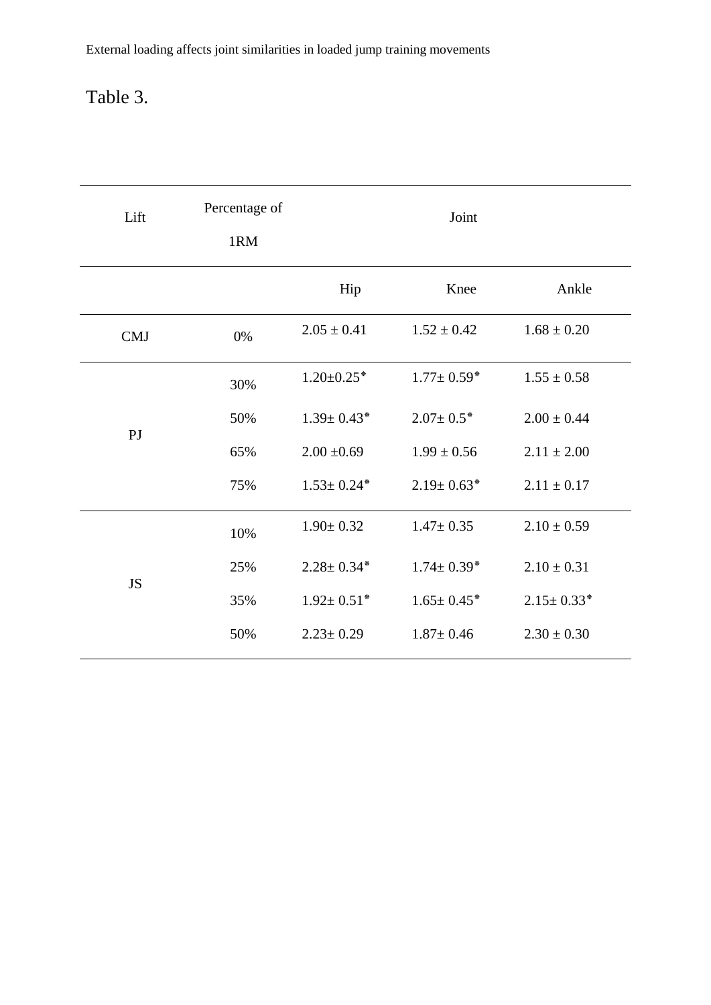# Table 3.

| Lift       | Percentage of<br>1RM |                   | Joint             |                  |
|------------|----------------------|-------------------|-------------------|------------------|
|            |                      | Hip               | Knee              | Ankle            |
| <b>CMJ</b> | 0%                   | $2.05 \pm 0.41$   | $1.52 \pm 0.42$   | $1.68 \pm 0.20$  |
|            | 30%                  | $1.20 \pm 0.25$ * | $1.77 \pm 0.59$ * | $1.55 \pm 0.58$  |
| PJ         | 50%                  | $1.39 \pm 0.43*$  | $2.07 \pm 0.5*$   | $2.00 \pm 0.44$  |
|            | 65%                  | $2.00 \pm 0.69$   | $1.99 \pm 0.56$   | $2.11 \pm 2.00$  |
|            | 75%                  | $1.53 \pm 0.24*$  | $2.19 \pm 0.63$ * | $2.11 \pm 0.17$  |
|            | 10%                  | $1.90 \pm 0.32$   | $1.47 \pm 0.35$   | $2.10 \pm 0.59$  |
|            | 25%                  | $2.28 \pm 0.34*$  | $1.74 \pm 0.39*$  | $2.10 \pm 0.31$  |
| <b>JS</b>  | 35%                  | $1.92 \pm 0.51$ * | $1.65 \pm 0.45^*$ | $2.15 \pm 0.33*$ |
|            | 50%                  | $2.23 \pm 0.29$   | $1.87 \pm 0.46$   | $2.30 \pm 0.30$  |